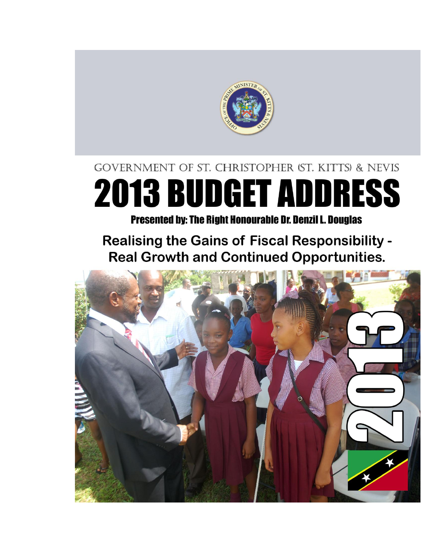

# **GOVERNMENT OF ST. CHRISTOPHER (ST. KITTS) & NEVIS 2013 BUDGET ADDRESS**

**Presented by: The Right Honourable Dr. Denzil L. Douglas** 

**Realising the Gains of Fiscal Responsibility -Real Growth and Continued Opportunities.** 

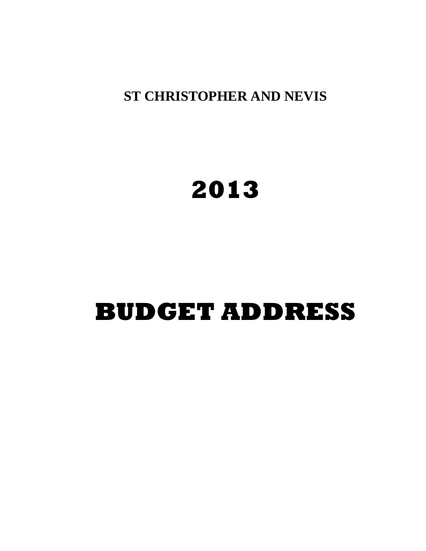**ST CHRISTOPHER AND NEVIS**

# **2013**

# **BUDGET ADDRESS**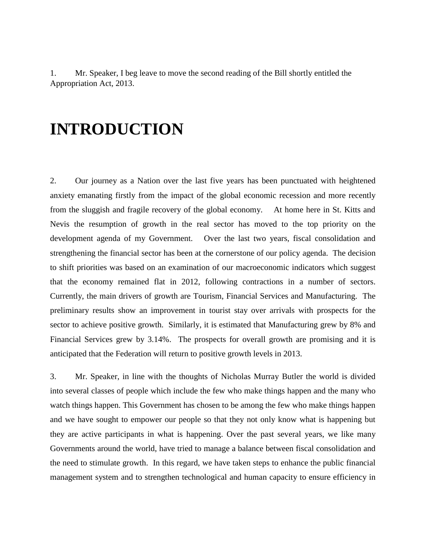1. Mr. Speaker, I beg leave to move the second reading of the Bill shortly entitled the Appropriation Act, 2013.

## **INTRODUCTION**

2. Our journey as a Nation over the last five years has been punctuated with heightened anxiety emanating firstly from the impact of the global economic recession and more recently from the sluggish and fragile recovery of the global economy. At home here in St. Kitts and Nevis the resumption of growth in the real sector has moved to the top priority on the development agenda of my Government. Over the last two years, fiscal consolidation and strengthening the financial sector has been at the cornerstone of our policy agenda. The decision to shift priorities was based on an examination of our macroeconomic indicators which suggest that the economy remained flat in 2012, following contractions in a number of sectors. Currently, the main drivers of growth are Tourism, Financial Services and Manufacturing. The preliminary results show an improvement in tourist stay over arrivals with prospects for the sector to achieve positive growth. Similarly, it is estimated that Manufacturing grew by 8% and Financial Services grew by 3.14%. The prospects for overall growth are promising and it is anticipated that the Federation will return to positive growth levels in 2013.

3. Mr. Speaker, in line with the thoughts of Nicholas Murray Butler the world is divided into several classes of people which include the few who make things happen and the many who watch things happen. This Government has chosen to be among the few who make things happen and we have sought to empower our people so that they not only know what is happening but they are active participants in what is happening. Over the past several years, we like many Governments around the world, have tried to manage a balance between fiscal consolidation and the need to stimulate growth. In this regard, we have taken steps to enhance the public financial management system and to strengthen technological and human capacity to ensure efficiency in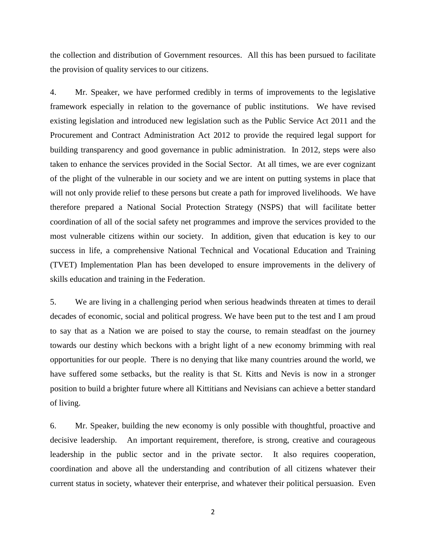the collection and distribution of Government resources. All this has been pursued to facilitate the provision of quality services to our citizens.

4. Mr. Speaker, we have performed credibly in terms of improvements to the legislative framework especially in relation to the governance of public institutions. We have revised existing legislation and introduced new legislation such as the Public Service Act 2011 and the Procurement and Contract Administration Act 2012 to provide the required legal support for building transparency and good governance in public administration. In 2012, steps were also taken to enhance the services provided in the Social Sector. At all times, we are ever cognizant of the plight of the vulnerable in our society and we are intent on putting systems in place that will not only provide relief to these persons but create a path for improved livelihoods. We have therefore prepared a National Social Protection Strategy (NSPS) that will facilitate better coordination of all of the social safety net programmes and improve the services provided to the most vulnerable citizens within our society. In addition, given that education is key to our success in life, a comprehensive National Technical and Vocational Education and Training (TVET) Implementation Plan has been developed to ensure improvements in the delivery of skills education and training in the Federation.

5. We are living in a challenging period when serious headwinds threaten at times to derail decades of economic, social and political progress. We have been put to the test and I am proud to say that as a Nation we are poised to stay the course, to remain steadfast on the journey towards our destiny which beckons with a bright light of a new economy brimming with real opportunities for our people. There is no denying that like many countries around the world, we have suffered some setbacks, but the reality is that St. Kitts and Nevis is now in a stronger position to build a brighter future where all Kittitians and Nevisians can achieve a better standard of living.

6. Mr. Speaker, building the new economy is only possible with thoughtful, proactive and decisive leadership. An important requirement, therefore, is strong, creative and courageous leadership in the public sector and in the private sector. It also requires cooperation, coordination and above all the understanding and contribution of all citizens whatever their current status in society, whatever their enterprise, and whatever their political persuasion. Even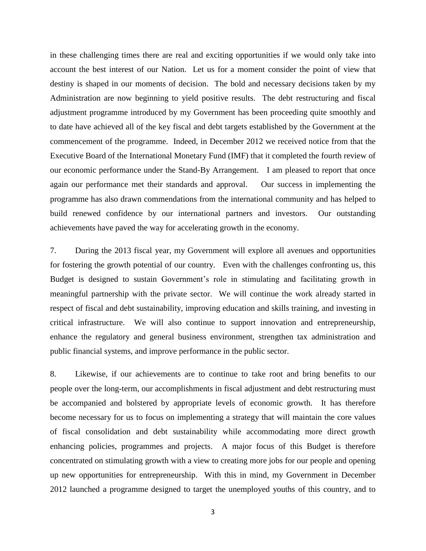in these challenging times there are real and exciting opportunities if we would only take into account the best interest of our Nation. Let us for a moment consider the point of view that destiny is shaped in our moments of decision. The bold and necessary decisions taken by my Administration are now beginning to yield positive results. The debt restructuring and fiscal adjustment programme introduced by my Government has been proceeding quite smoothly and to date have achieved all of the key fiscal and debt targets established by the Government at the commencement of the programme. Indeed, in December 2012 we received notice from that the Executive Board of the International Monetary Fund (IMF) that it completed the fourth review of our economic performance under the Stand-By Arrangement. I am pleased to report that once again our performance met their standards and approval. Our success in implementing the programme has also drawn commendations from the international community and has helped to build renewed confidence by our international partners and investors. Our outstanding achievements have paved the way for accelerating growth in the economy.

7. During the 2013 fiscal year, my Government will explore all avenues and opportunities for fostering the growth potential of our country. Even with the challenges confronting us, this Budget is designed to sustain Government's role in stimulating and facilitating growth in meaningful partnership with the private sector. We will continue the work already started in respect of fiscal and debt sustainability, improving education and skills training, and investing in critical infrastructure. We will also continue to support innovation and entrepreneurship, enhance the regulatory and general business environment, strengthen tax administration and public financial systems, and improve performance in the public sector.

8. Likewise, if our achievements are to continue to take root and bring benefits to our people over the long-term, our accomplishments in fiscal adjustment and debt restructuring must be accompanied and bolstered by appropriate levels of economic growth. It has therefore become necessary for us to focus on implementing a strategy that will maintain the core values of fiscal consolidation and debt sustainability while accommodating more direct growth enhancing policies, programmes and projects. A major focus of this Budget is therefore concentrated on stimulating growth with a view to creating more jobs for our people and opening up new opportunities for entrepreneurship. With this in mind, my Government in December 2012 launched a programme designed to target the unemployed youths of this country, and to

3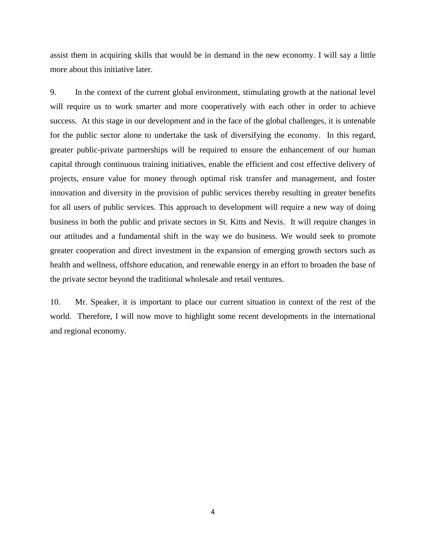assist them in acquiring skills that would be in demand in the new economy. I will say a little more about this initiative later.

9. In the context of the current global environment, stimulating growth at the national level will require us to work smarter and more cooperatively with each other in order to achieve success. At this stage in our development and in the face of the global challenges, it is untenable for the public sector alone to undertake the task of diversifying the economy. In this regard, greater public-private partnerships will be required to ensure the enhancement of our human capital through continuous training initiatives, enable the efficient and cost effective delivery of projects, ensure value for money through optimal risk transfer and management, and foster innovation and diversity in the provision of public services thereby resulting in greater benefits for all users of public services. This approach to development will require a new way of doing business in both the public and private sectors in St. Kitts and Nevis. It will require changes in our attitudes and a fundamental shift in the way we do business. We would seek to promote greater cooperation and direct investment in the expansion of emerging growth sectors such as health and wellness, offshore education, and renewable energy in an effort to broaden the base of the private sector beyond the traditional wholesale and retail ventures.

10. Mr. Speaker, it is important to place our current situation in context of the rest of the world. Therefore, I will now move to highlight some recent developments in the international and regional economy.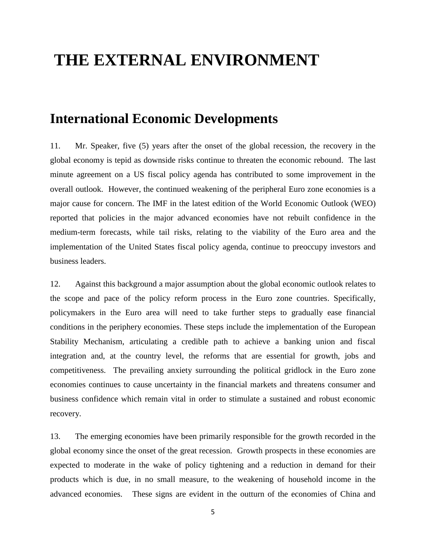## **THE EXTERNAL ENVIRONMENT**

#### **International Economic Developments**

11. Mr. Speaker, five (5) years after the onset of the global recession, the recovery in the global economy is tepid as downside risks continue to threaten the economic rebound. The last minute agreement on a US fiscal policy agenda has contributed to some improvement in the overall outlook. However, the continued weakening of the peripheral Euro zone economies is a major cause for concern. The IMF in the latest edition of the World Economic Outlook (WEO) reported that policies in the major advanced economies have not rebuilt confidence in the medium-term forecasts, while tail risks, relating to the viability of the Euro area and the implementation of the United States fiscal policy agenda, continue to preoccupy investors and business leaders.

12. Against this background a major assumption about the global economic outlook relates to the scope and pace of the policy reform process in the Euro zone countries. Specifically, policymakers in the Euro area will need to take further steps to gradually ease financial conditions in the periphery economies. These steps include the implementation of the European Stability Mechanism, articulating a credible path to achieve a banking union and fiscal integration and, at the country level, the reforms that are essential for growth, jobs and competitiveness. The prevailing anxiety surrounding the political gridlock in the Euro zone economies continues to cause uncertainty in the financial markets and threatens consumer and business confidence which remain vital in order to stimulate a sustained and robust economic recovery.

13. The emerging economies have been primarily responsible for the growth recorded in the global economy since the onset of the great recession. Growth prospects in these economies are expected to moderate in the wake of policy tightening and a reduction in demand for their products which is due, in no small measure, to the weakening of household income in the advanced economies. These signs are evident in the outturn of the economies of China and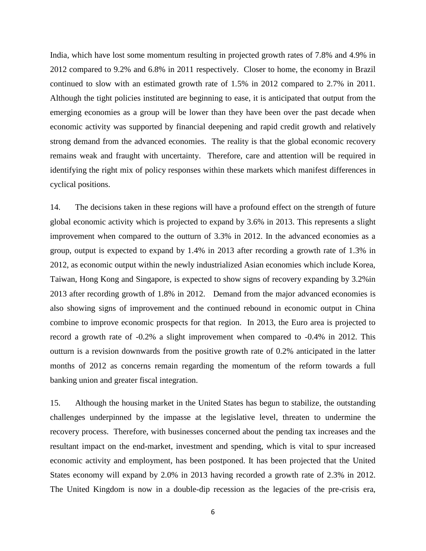India, which have lost some momentum resulting in projected growth rates of 7.8% and 4.9% in 2012 compared to 9.2% and 6.8% in 2011 respectively. Closer to home, the economy in Brazil continued to slow with an estimated growth rate of 1.5% in 2012 compared to 2.7% in 2011. Although the tight policies instituted are beginning to ease, it is anticipated that output from the emerging economies as a group will be lower than they have been over the past decade when economic activity was supported by financial deepening and rapid credit growth and relatively strong demand from the advanced economies. The reality is that the global economic recovery remains weak and fraught with uncertainty. Therefore, care and attention will be required in identifying the right mix of policy responses within these markets which manifest differences in cyclical positions.

14. The decisions taken in these regions will have a profound effect on the strength of future global economic activity which is projected to expand by 3.6% in 2013. This represents a slight improvement when compared to the outturn of 3.3% in 2012. In the advanced economies as a group, output is expected to expand by 1.4% in 2013 after recording a growth rate of 1.3% in 2012, as economic output within the newly industrialized Asian economies which include Korea, Taiwan, Hong Kong and Singapore, is expected to show signs of recovery expanding by 3.2%in 2013 after recording growth of 1.8% in 2012. Demand from the major advanced economies is also showing signs of improvement and the continued rebound in economic output in China combine to improve economic prospects for that region. In 2013, the Euro area is projected to record a growth rate of -0.2% a slight improvement when compared to -0.4% in 2012. This outturn is a revision downwards from the positive growth rate of 0.2% anticipated in the latter months of 2012 as concerns remain regarding the momentum of the reform towards a full banking union and greater fiscal integration.

15. Although the housing market in the United States has begun to stabilize, the outstanding challenges underpinned by the impasse at the legislative level, threaten to undermine the recovery process. Therefore, with businesses concerned about the pending tax increases and the resultant impact on the end-market, investment and spending, which is vital to spur increased economic activity and employment, has been postponed. It has been projected that the United States economy will expand by 2.0% in 2013 having recorded a growth rate of 2.3% in 2012. The United Kingdom is now in a double-dip recession as the legacies of the pre-crisis era,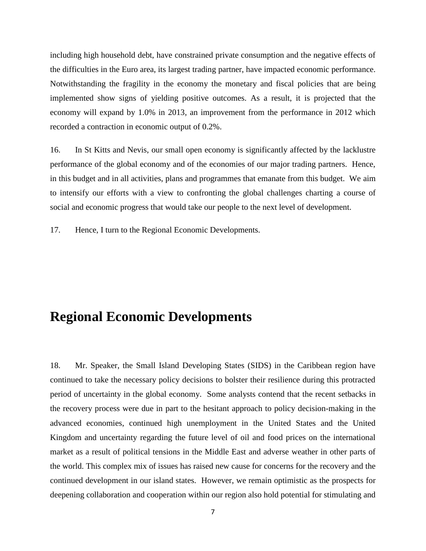including high household debt, have constrained private consumption and the negative effects of the difficulties in the Euro area, its largest trading partner, have impacted economic performance. Notwithstanding the fragility in the economy the monetary and fiscal policies that are being implemented show signs of yielding positive outcomes. As a result, it is projected that the economy will expand by 1.0% in 2013, an improvement from the performance in 2012 which recorded a contraction in economic output of 0.2%.

16. In St Kitts and Nevis, our small open economy is significantly affected by the lacklustre performance of the global economy and of the economies of our major trading partners. Hence, in this budget and in all activities, plans and programmes that emanate from this budget. We aim to intensify our efforts with a view to confronting the global challenges charting a course of social and economic progress that would take our people to the next level of development.

17. Hence, I turn to the Regional Economic Developments.

### **Regional Economic Developments**

18. Mr. Speaker, the Small Island Developing States (SIDS) in the Caribbean region have continued to take the necessary policy decisions to bolster their resilience during this protracted period of uncertainty in the global economy. Some analysts contend that the recent setbacks in the recovery process were due in part to the hesitant approach to policy decision-making in the advanced economies, continued high unemployment in the United States and the United Kingdom and uncertainty regarding the future level of oil and food prices on the international market as a result of political tensions in the Middle East and adverse weather in other parts of the world. This complex mix of issues has raised new cause for concerns for the recovery and the continued development in our island states. However, we remain optimistic as the prospects for deepening collaboration and cooperation within our region also hold potential for stimulating and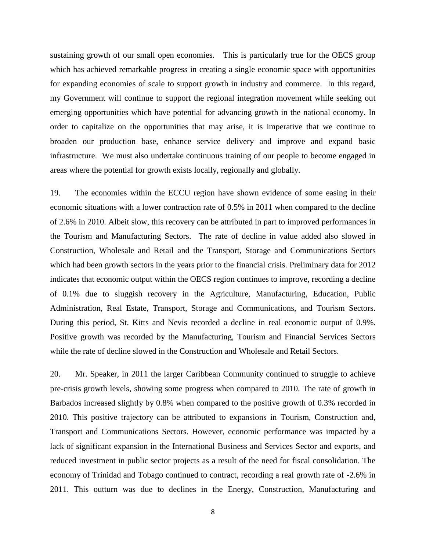sustaining growth of our small open economies. This is particularly true for the OECS group which has achieved remarkable progress in creating a single economic space with opportunities for expanding economies of scale to support growth in industry and commerce. In this regard, my Government will continue to support the regional integration movement while seeking out emerging opportunities which have potential for advancing growth in the national economy. In order to capitalize on the opportunities that may arise, it is imperative that we continue to broaden our production base, enhance service delivery and improve and expand basic infrastructure. We must also undertake continuous training of our people to become engaged in areas where the potential for growth exists locally, regionally and globally.

19. The economies within the ECCU region have shown evidence of some easing in their economic situations with a lower contraction rate of 0.5% in 2011 when compared to the decline of 2.6% in 2010. Albeit slow, this recovery can be attributed in part to improved performances in the Tourism and Manufacturing Sectors. The rate of decline in value added also slowed in Construction, Wholesale and Retail and the Transport, Storage and Communications Sectors which had been growth sectors in the years prior to the financial crisis. Preliminary data for 2012 indicates that economic output within the OECS region continues to improve, recording a decline of 0.1% due to sluggish recovery in the Agriculture, Manufacturing, Education, Public Administration, Real Estate, Transport, Storage and Communications, and Tourism Sectors. During this period, St. Kitts and Nevis recorded a decline in real economic output of 0.9%. Positive growth was recorded by the Manufacturing, Tourism and Financial Services Sectors while the rate of decline slowed in the Construction and Wholesale and Retail Sectors.

20. Mr. Speaker, in 2011 the larger Caribbean Community continued to struggle to achieve pre-crisis growth levels, showing some progress when compared to 2010. The rate of growth in Barbados increased slightly by 0.8% when compared to the positive growth of 0.3% recorded in 2010. This positive trajectory can be attributed to expansions in Tourism, Construction and, Transport and Communications Sectors. However, economic performance was impacted by a lack of significant expansion in the International Business and Services Sector and exports, and reduced investment in public sector projects as a result of the need for fiscal consolidation. The economy of Trinidad and Tobago continued to contract, recording a real growth rate of -2.6% in 2011. This outturn was due to declines in the Energy, Construction, Manufacturing and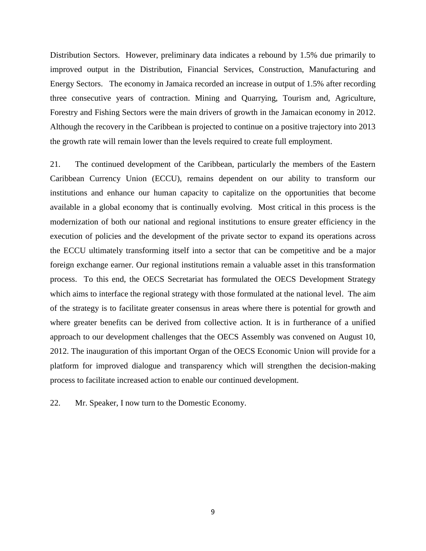Distribution Sectors. However, preliminary data indicates a rebound by 1.5% due primarily to improved output in the Distribution, Financial Services, Construction, Manufacturing and Energy Sectors. The economy in Jamaica recorded an increase in output of 1.5% after recording three consecutive years of contraction. Mining and Quarrying, Tourism and, Agriculture, Forestry and Fishing Sectors were the main drivers of growth in the Jamaican economy in 2012. Although the recovery in the Caribbean is projected to continue on a positive trajectory into 2013 the growth rate will remain lower than the levels required to create full employment.

21. The continued development of the Caribbean, particularly the members of the Eastern Caribbean Currency Union (ECCU), remains dependent on our ability to transform our institutions and enhance our human capacity to capitalize on the opportunities that become available in a global economy that is continually evolving. Most critical in this process is the modernization of both our national and regional institutions to ensure greater efficiency in the execution of policies and the development of the private sector to expand its operations across the ECCU ultimately transforming itself into a sector that can be competitive and be a major foreign exchange earner. Our regional institutions remain a valuable asset in this transformation process. To this end, the OECS Secretariat has formulated the OECS Development Strategy which aims to interface the regional strategy with those formulated at the national level. The aim of the strategy is to facilitate greater consensus in areas where there is potential for growth and where greater benefits can be derived from collective action. It is in furtherance of a unified approach to our development challenges that the OECS Assembly was convened on August 10, 2012. The inauguration of this important Organ of the OECS Economic Union will provide for a platform for improved dialogue and transparency which will strengthen the decision-making process to facilitate increased action to enable our continued development.

22. Mr. Speaker, I now turn to the Domestic Economy.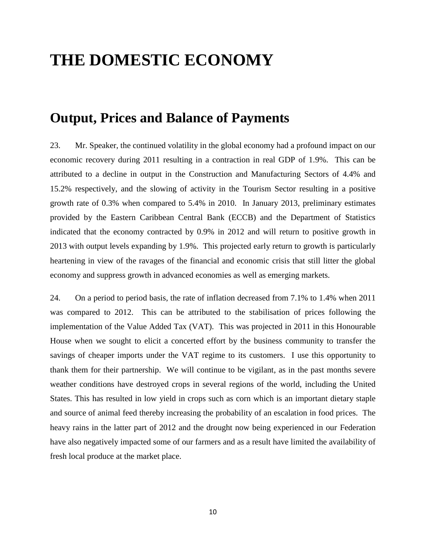# **THE DOMESTIC ECONOMY**

#### **Output, Prices and Balance of Payments**

23. Mr. Speaker, the continued volatility in the global economy had a profound impact on our economic recovery during 2011 resulting in a contraction in real GDP of 1.9%. This can be attributed to a decline in output in the Construction and Manufacturing Sectors of 4.4% and 15.2% respectively, and the slowing of activity in the Tourism Sector resulting in a positive growth rate of 0.3% when compared to 5.4% in 2010. In January 2013, preliminary estimates provided by the Eastern Caribbean Central Bank (ECCB) and the Department of Statistics indicated that the economy contracted by 0.9% in 2012 and will return to positive growth in 2013 with output levels expanding by 1.9%. This projected early return to growth is particularly heartening in view of the ravages of the financial and economic crisis that still litter the global economy and suppress growth in advanced economies as well as emerging markets.

24. On a period to period basis, the rate of inflation decreased from 7.1% to 1.4% when 2011 was compared to 2012. This can be attributed to the stabilisation of prices following the implementation of the Value Added Tax (VAT). This was projected in 2011 in this Honourable House when we sought to elicit a concerted effort by the business community to transfer the savings of cheaper imports under the VAT regime to its customers. I use this opportunity to thank them for their partnership. We will continue to be vigilant, as in the past months severe weather conditions have destroyed crops in several regions of the world, including the United States. This has resulted in low yield in crops such as corn which is an important dietary staple and source of animal feed thereby increasing the probability of an escalation in food prices. The heavy rains in the latter part of 2012 and the drought now being experienced in our Federation have also negatively impacted some of our farmers and as a result have limited the availability of fresh local produce at the market place.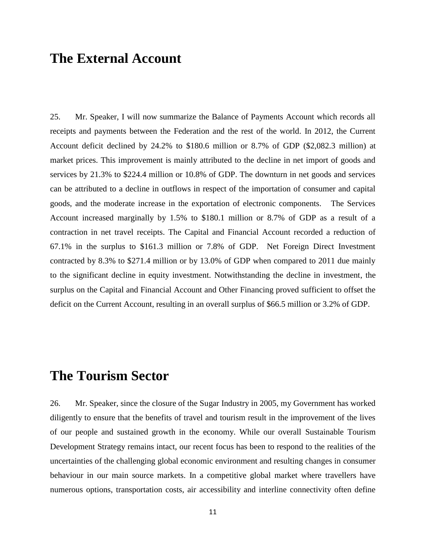#### **The External Account**

25. Mr. Speaker, I will now summarize the Balance of Payments Account which records all receipts and payments between the Federation and the rest of the world. In 2012, the Current Account deficit declined by 24.2% to \$180.6 million or 8.7% of GDP (\$2,082.3 million) at market prices. This improvement is mainly attributed to the decline in net import of goods and services by 21.3% to \$224.4 million or 10.8% of GDP. The downturn in net goods and services can be attributed to a decline in outflows in respect of the importation of consumer and capital goods, and the moderate increase in the exportation of electronic components. The Services Account increased marginally by 1.5% to \$180.1 million or 8.7% of GDP as a result of a contraction in net travel receipts. The Capital and Financial Account recorded a reduction of 67.1% in the surplus to \$161.3 million or 7.8% of GDP. Net Foreign Direct Investment contracted by 8.3% to \$271.4 million or by 13.0% of GDP when compared to 2011 due mainly to the significant decline in equity investment. Notwithstanding the decline in investment, the surplus on the Capital and Financial Account and Other Financing proved sufficient to offset the deficit on the Current Account, resulting in an overall surplus of \$66.5 million or 3.2% of GDP.

#### **The Tourism Sector**

26. Mr. Speaker, since the closure of the Sugar Industry in 2005, my Government has worked diligently to ensure that the benefits of travel and tourism result in the improvement of the lives of our people and sustained growth in the economy. While our overall Sustainable Tourism Development Strategy remains intact, our recent focus has been to respond to the realities of the uncertainties of the challenging global economic environment and resulting changes in consumer behaviour in our main source markets. In a competitive global market where travellers have numerous options, transportation costs, air accessibility and interline connectivity often define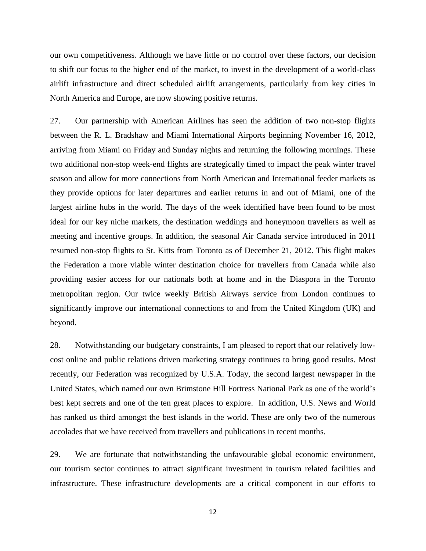our own competitiveness. Although we have little or no control over these factors, our decision to shift our focus to the higher end of the market, to invest in the development of a world-class airlift infrastructure and direct scheduled airlift arrangements, particularly from key cities in North America and Europe, are now showing positive returns.

27. Our partnership with American Airlines has seen the addition of two non-stop flights between the R. L. Bradshaw and Miami International Airports beginning November 16, 2012, arriving from Miami on Friday and Sunday nights and returning the following mornings. These two additional non-stop week-end flights are strategically timed to impact the peak winter travel season and allow for more connections from North American and International feeder markets as they provide options for later departures and earlier returns in and out of Miami, one of the largest airline hubs in the world. The days of the week identified have been found to be most ideal for our key niche markets, the destination weddings and honeymoon travellers as well as meeting and incentive groups. In addition, the seasonal Air Canada service introduced in 2011 resumed non-stop flights to St. Kitts from Toronto as of December 21, 2012. This flight makes the Federation a more viable winter destination choice for travellers from Canada while also providing easier access for our nationals both at home and in the Diaspora in the Toronto metropolitan region. Our twice weekly British Airways service from London continues to significantly improve our international connections to and from the United Kingdom (UK) and beyond.

28. Notwithstanding our budgetary constraints, I am pleased to report that our relatively lowcost online and public relations driven marketing strategy continues to bring good results. Most recently, our Federation was recognized by U.S.A. Today, the second largest newspaper in the United States, which named our own Brimstone Hill Fortress National Park as one of the world's best kept secrets and one of the ten great places to explore. In addition, U.S. News and World has ranked us third amongst the best islands in the world. These are only two of the numerous accolades that we have received from travellers and publications in recent months.

29. We are fortunate that notwithstanding the unfavourable global economic environment, our tourism sector continues to attract significant investment in tourism related facilities and infrastructure. These infrastructure developments are a critical component in our efforts to

12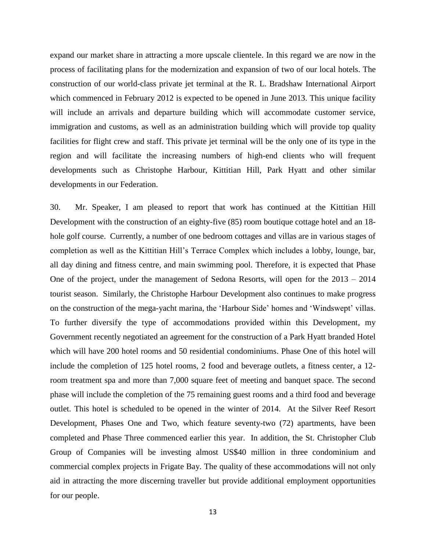expand our market share in attracting a more upscale clientele. In this regard we are now in the process of facilitating plans for the modernization and expansion of two of our local hotels. The construction of our world-class private jet terminal at the R. L. Bradshaw International Airport which commenced in February 2012 is expected to be opened in June 2013. This unique facility will include an arrivals and departure building which will accommodate customer service, immigration and customs, as well as an administration building which will provide top quality facilities for flight crew and staff. This private jet terminal will be the only one of its type in the region and will facilitate the increasing numbers of high-end clients who will frequent developments such as Christophe Harbour, Kittitian Hill, Park Hyatt and other similar developments in our Federation.

30. Mr. Speaker, I am pleased to report that work has continued at the Kittitian Hill Development with the construction of an eighty-five (85) room boutique cottage hotel and an 18 hole golf course. Currently, a number of one bedroom cottages and villas are in various stages of completion as well as the Kittitian Hill's Terrace Complex which includes a lobby, lounge, bar, all day dining and fitness centre, and main swimming pool. Therefore, it is expected that Phase One of the project, under the management of Sedona Resorts, will open for the 2013 – 2014 tourist season. Similarly, the Christophe Harbour Development also continues to make progress on the construction of the mega-yacht marina, the 'Harbour Side' homes and 'Windswept' villas. To further diversify the type of accommodations provided within this Development, my Government recently negotiated an agreement for the construction of a Park Hyatt branded Hotel which will have 200 hotel rooms and 50 residential condominiums. Phase One of this hotel will include the completion of 125 hotel rooms, 2 food and beverage outlets, a fitness center, a 12 room treatment spa and more than 7,000 square feet of meeting and banquet space. The second phase will include the completion of the 75 remaining guest rooms and a third food and beverage outlet. This hotel is scheduled to be opened in the winter of 2014. At the Silver Reef Resort Development, Phases One and Two, which feature seventy-two (72) apartments, have been completed and Phase Three commenced earlier this year. In addition, the St. Christopher Club Group of Companies will be investing almost US\$40 million in three condominium and commercial complex projects in Frigate Bay. The quality of these accommodations will not only aid in attracting the more discerning traveller but provide additional employment opportunities for our people.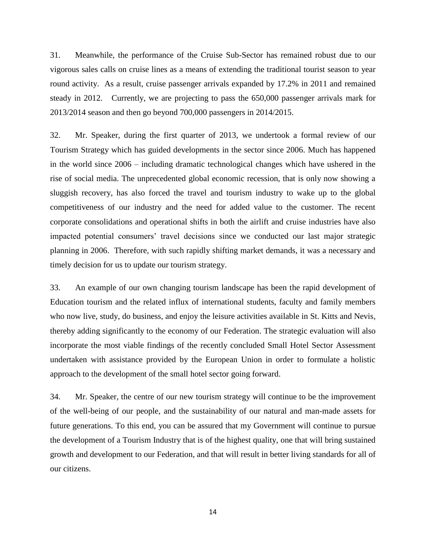31. Meanwhile, the performance of the Cruise Sub-Sector has remained robust due to our vigorous sales calls on cruise lines as a means of extending the traditional tourist season to year round activity. As a result, cruise passenger arrivals expanded by 17.2% in 2011 and remained steady in 2012. Currently, we are projecting to pass the 650,000 passenger arrivals mark for 2013/2014 season and then go beyond 700,000 passengers in 2014/2015.

32. Mr. Speaker, during the first quarter of 2013, we undertook a formal review of our Tourism Strategy which has guided developments in the sector since 2006. Much has happened in the world since 2006 – including dramatic technological changes which have ushered in the rise of social media. The unprecedented global economic recession, that is only now showing a sluggish recovery, has also forced the travel and tourism industry to wake up to the global competitiveness of our industry and the need for added value to the customer. The recent corporate consolidations and operational shifts in both the airlift and cruise industries have also impacted potential consumers' travel decisions since we conducted our last major strategic planning in 2006. Therefore, with such rapidly shifting market demands, it was a necessary and timely decision for us to update our tourism strategy.

33. An example of our own changing tourism landscape has been the rapid development of Education tourism and the related influx of international students, faculty and family members who now live, study, do business, and enjoy the leisure activities available in St. Kitts and Nevis, thereby adding significantly to the economy of our Federation. The strategic evaluation will also incorporate the most viable findings of the recently concluded Small Hotel Sector Assessment undertaken with assistance provided by the European Union in order to formulate a holistic approach to the development of the small hotel sector going forward.

34. Mr. Speaker, the centre of our new tourism strategy will continue to be the improvement of the well-being of our people, and the sustainability of our natural and man-made assets for future generations. To this end, you can be assured that my Government will continue to pursue the development of a Tourism Industry that is of the highest quality, one that will bring sustained growth and development to our Federation, and that will result in better living standards for all of our citizens.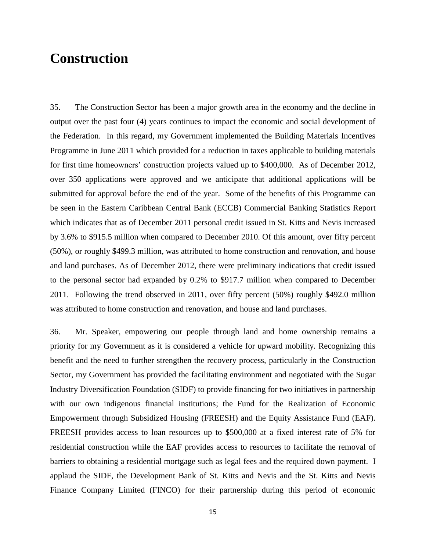## **Construction**

35. The Construction Sector has been a major growth area in the economy and the decline in output over the past four (4) years continues to impact the economic and social development of the Federation. In this regard, my Government implemented the Building Materials Incentives Programme in June 2011 which provided for a reduction in taxes applicable to building materials for first time homeowners' construction projects valued up to \$400,000. As of December 2012, over 350 applications were approved and we anticipate that additional applications will be submitted for approval before the end of the year. Some of the benefits of this Programme can be seen in the Eastern Caribbean Central Bank (ECCB) Commercial Banking Statistics Report which indicates that as of December 2011 personal credit issued in St. Kitts and Nevis increased by 3.6% to \$915.5 million when compared to December 2010. Of this amount, over fifty percent (50%), or roughly \$499.3 million, was attributed to home construction and renovation, and house and land purchases. As of December 2012, there were preliminary indications that credit issued to the personal sector had expanded by 0.2% to \$917.7 million when compared to December 2011. Following the trend observed in 2011, over fifty percent (50%) roughly \$492.0 million was attributed to home construction and renovation, and house and land purchases.

36. Mr. Speaker, empowering our people through land and home ownership remains a priority for my Government as it is considered a vehicle for upward mobility. Recognizing this benefit and the need to further strengthen the recovery process, particularly in the Construction Sector, my Government has provided the facilitating environment and negotiated with the Sugar Industry Diversification Foundation (SIDF) to provide financing for two initiatives in partnership with our own indigenous financial institutions; the Fund for the Realization of Economic Empowerment through Subsidized Housing (FREESH) and the Equity Assistance Fund (EAF). FREESH provides access to loan resources up to \$500,000 at a fixed interest rate of 5% for residential construction while the EAF provides access to resources to facilitate the removal of barriers to obtaining a residential mortgage such as legal fees and the required down payment. I applaud the SIDF, the Development Bank of St. Kitts and Nevis and the St. Kitts and Nevis Finance Company Limited (FINCO) for their partnership during this period of economic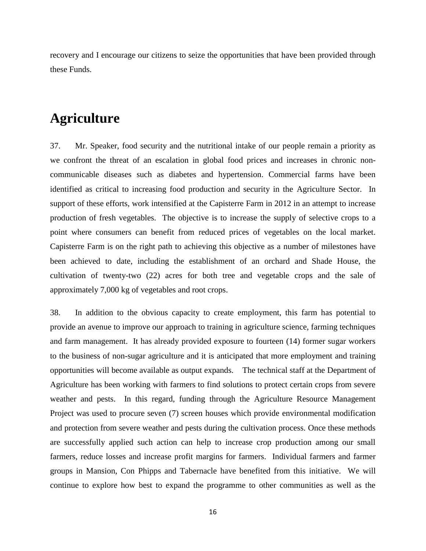recovery and I encourage our citizens to seize the opportunities that have been provided through these Funds.

#### **Agriculture**

37. Mr. Speaker, food security and the nutritional intake of our people remain a priority as we confront the threat of an escalation in global food prices and increases in chronic noncommunicable diseases such as diabetes and hypertension. Commercial farms have been identified as critical to increasing food production and security in the Agriculture Sector. In support of these efforts, work intensified at the Capisterre Farm in 2012 in an attempt to increase production of fresh vegetables. The objective is to increase the supply of selective crops to a point where consumers can benefit from reduced prices of vegetables on the local market. Capisterre Farm is on the right path to achieving this objective as a number of milestones have been achieved to date, including the establishment of an orchard and Shade House, the cultivation of twenty-two (22) acres for both tree and vegetable crops and the sale of approximately 7,000 kg of vegetables and root crops.

38. In addition to the obvious capacity to create employment, this farm has potential to provide an avenue to improve our approach to training in agriculture science, farming techniques and farm management. It has already provided exposure to fourteen (14) former sugar workers to the business of non-sugar agriculture and it is anticipated that more employment and training opportunities will become available as output expands. The technical staff at the Department of Agriculture has been working with farmers to find solutions to protect certain crops from severe weather and pests. In this regard, funding through the Agriculture Resource Management Project was used to procure seven (7) screen houses which provide environmental modification and protection from severe weather and pests during the cultivation process. Once these methods are successfully applied such action can help to increase crop production among our small farmers, reduce losses and increase profit margins for farmers. Individual farmers and farmer groups in Mansion, Con Phipps and Tabernacle have benefited from this initiative. We will continue to explore how best to expand the programme to other communities as well as the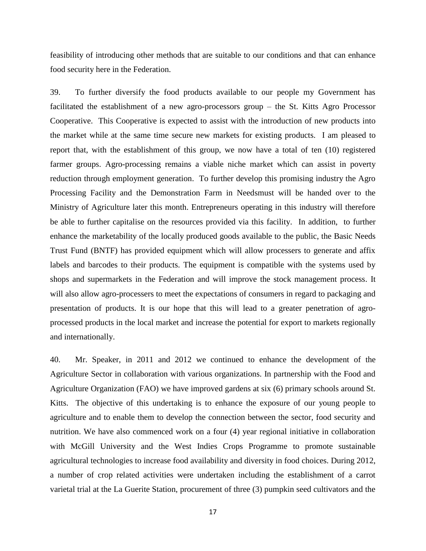feasibility of introducing other methods that are suitable to our conditions and that can enhance food security here in the Federation.

39. To further diversify the food products available to our people my Government has facilitated the establishment of a new agro-processors group – the St. Kitts Agro Processor Cooperative. This Cooperative is expected to assist with the introduction of new products into the market while at the same time secure new markets for existing products. I am pleased to report that, with the establishment of this group, we now have a total of ten (10) registered farmer groups. Agro-processing remains a viable niche market which can assist in poverty reduction through employment generation. To further develop this promising industry the Agro Processing Facility and the Demonstration Farm in Needsmust will be handed over to the Ministry of Agriculture later this month. Entrepreneurs operating in this industry will therefore be able to further capitalise on the resources provided via this facility. In addition, to further enhance the marketability of the locally produced goods available to the public, the Basic Needs Trust Fund (BNTF) has provided equipment which will allow processers to generate and affix labels and barcodes to their products. The equipment is compatible with the systems used by shops and supermarkets in the Federation and will improve the stock management process. It will also allow agro-processers to meet the expectations of consumers in regard to packaging and presentation of products. It is our hope that this will lead to a greater penetration of agroprocessed products in the local market and increase the potential for export to markets regionally and internationally.

40. Mr. Speaker, in 2011 and 2012 we continued to enhance the development of the Agriculture Sector in collaboration with various organizations. In partnership with the Food and Agriculture Organization (FAO) we have improved gardens at six (6) primary schools around St. Kitts. The objective of this undertaking is to enhance the exposure of our young people to agriculture and to enable them to develop the connection between the sector, food security and nutrition. We have also commenced work on a four (4) year regional initiative in collaboration with McGill University and the West Indies Crops Programme to promote sustainable agricultural technologies to increase food availability and diversity in food choices. During 2012, a number of crop related activities were undertaken including the establishment of a carrot varietal trial at the La Guerite Station, procurement of three (3) pumpkin seed cultivators and the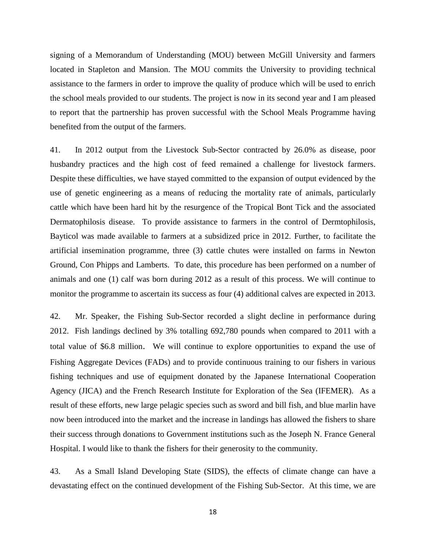signing of a Memorandum of Understanding (MOU) between McGill University and farmers located in Stapleton and Mansion. The MOU commits the University to providing technical assistance to the farmers in order to improve the quality of produce which will be used to enrich the school meals provided to our students. The project is now in its second year and I am pleased to report that the partnership has proven successful with the School Meals Programme having benefited from the output of the farmers.

41. In 2012 output from the Livestock Sub-Sector contracted by 26.0% as disease, poor husbandry practices and the high cost of feed remained a challenge for livestock farmers. Despite these difficulties, we have stayed committed to the expansion of output evidenced by the use of genetic engineering as a means of reducing the mortality rate of animals, particularly cattle which have been hard hit by the resurgence of the Tropical Bont Tick and the associated Dermatophilosis disease. To provide assistance to farmers in the control of Dermtophilosis, Bayticol was made available to farmers at a subsidized price in 2012. Further, to facilitate the artificial insemination programme, three (3) cattle chutes were installed on farms in Newton Ground, Con Phipps and Lamberts. To date, this procedure has been performed on a number of animals and one (1) calf was born during 2012 as a result of this process. We will continue to monitor the programme to ascertain its success as four (4) additional calves are expected in 2013.

42. Mr. Speaker, the Fishing Sub-Sector recorded a slight decline in performance during 2012. Fish landings declined by 3% totalling 692,780 pounds when compared to 2011 with a total value of \$6.8 million. We will continue to explore opportunities to expand the use of Fishing Aggregate Devices (FADs) and to provide continuous training to our fishers in various fishing techniques and use of equipment donated by the Japanese International Cooperation Agency (JICA) and the French Research Institute for Exploration of the Sea (IFEMER). As a result of these efforts, new large pelagic species such as sword and bill fish, and blue marlin have now been introduced into the market and the increase in landings has allowed the fishers to share their success through donations to Government institutions such as the Joseph N. France General Hospital. I would like to thank the fishers for their generosity to the community.

43. As a Small Island Developing State (SIDS), the effects of climate change can have a devastating effect on the continued development of the Fishing Sub-Sector. At this time, we are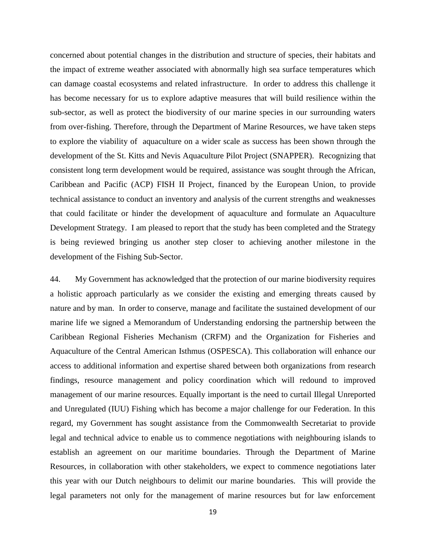concerned about potential changes in the distribution and structure of species, their habitats and the impact of extreme weather associated with abnormally high sea surface temperatures which can damage coastal ecosystems and related infrastructure. In order to address this challenge it has become necessary for us to explore adaptive measures that will build resilience within the sub-sector, as well as protect the biodiversity of our marine species in our surrounding waters from over-fishing. Therefore, through the Department of Marine Resources, we have taken steps to explore the viability of aquaculture on a wider scale as success has been shown through the development of the St. Kitts and Nevis Aquaculture Pilot Project (SNAPPER). Recognizing that consistent long term development would be required, assistance was sought through the African, Caribbean and Pacific (ACP) FISH II Project, financed by the European Union, to provide technical assistance to conduct an inventory and analysis of the current strengths and weaknesses that could facilitate or hinder the development of aquaculture and formulate an Aquaculture Development Strategy. I am pleased to report that the study has been completed and the Strategy is being reviewed bringing us another step closer to achieving another milestone in the development of the Fishing Sub-Sector.

44. My Government has acknowledged that the protection of our marine biodiversity requires a holistic approach particularly as we consider the existing and emerging threats caused by nature and by man. In order to conserve, manage and facilitate the sustained development of our marine life we signed a Memorandum of Understanding endorsing the partnership between the Caribbean Regional Fisheries Mechanism (CRFM) and the Organization for Fisheries and Aquaculture of the Central American Isthmus (OSPESCA). This collaboration will enhance our access to additional information and expertise shared between both organizations from research findings, resource management and policy coordination which will redound to improved management of our marine resources. Equally important is the need to curtail Illegal Unreported and Unregulated (IUU) Fishing which has become a major challenge for our Federation. In this regard, my Government has sought assistance from the Commonwealth Secretariat to provide legal and technical advice to enable us to commence negotiations with neighbouring islands to establish an agreement on our maritime boundaries. Through the Department of Marine Resources, in collaboration with other stakeholders, we expect to commence negotiations later this year with our Dutch neighbours to delimit our marine boundaries. This will provide the legal parameters not only for the management of marine resources but for law enforcement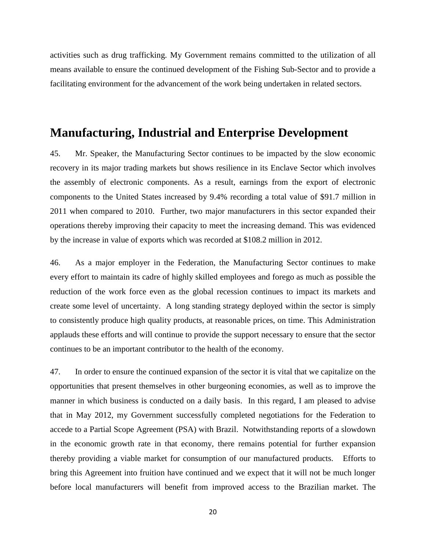activities such as drug trafficking. My Government remains committed to the utilization of all means available to ensure the continued development of the Fishing Sub-Sector and to provide a facilitating environment for the advancement of the work being undertaken in related sectors.

#### **Manufacturing, Industrial and Enterprise Development**

45. Mr. Speaker, the Manufacturing Sector continues to be impacted by the slow economic recovery in its major trading markets but shows resilience in its Enclave Sector which involves the assembly of electronic components. As a result, earnings from the export of electronic components to the United States increased by 9.4% recording a total value of \$91.7 million in 2011 when compared to 2010. Further, two major manufacturers in this sector expanded their operations thereby improving their capacity to meet the increasing demand. This was evidenced by the increase in value of exports which was recorded at \$108.2 million in 2012.

46. As a major employer in the Federation, the Manufacturing Sector continues to make every effort to maintain its cadre of highly skilled employees and forego as much as possible the reduction of the work force even as the global recession continues to impact its markets and create some level of uncertainty. A long standing strategy deployed within the sector is simply to consistently produce high quality products, at reasonable prices, on time. This Administration applauds these efforts and will continue to provide the support necessary to ensure that the sector continues to be an important contributor to the health of the economy.

47. In order to ensure the continued expansion of the sector it is vital that we capitalize on the opportunities that present themselves in other burgeoning economies, as well as to improve the manner in which business is conducted on a daily basis. In this regard, I am pleased to advise that in May 2012, my Government successfully completed negotiations for the Federation to accede to a Partial Scope Agreement (PSA) with Brazil. Notwithstanding reports of a slowdown in the economic growth rate in that economy, there remains potential for further expansion thereby providing a viable market for consumption of our manufactured products. Efforts to bring this Agreement into fruition have continued and we expect that it will not be much longer before local manufacturers will benefit from improved access to the Brazilian market. The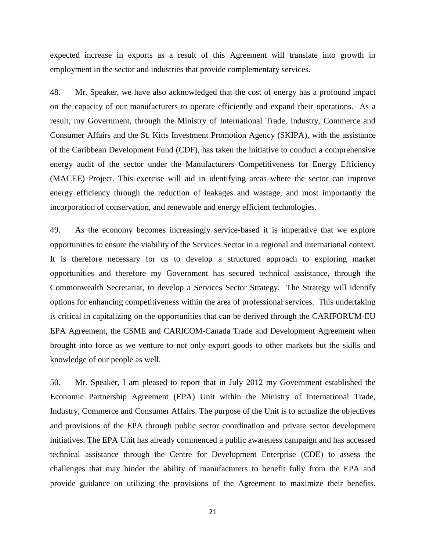expected increase in exports as a result of this Agreement will translate into growth in employment in the sector and industries that provide complementary services.

48. Mr. Speaker, we have also acknowledged that the cost of energy has a profound impact on the capacity of our manufacturers to operate efficiently and expand their operations. As a result, my Government, through the Ministry of International Trade, Industry, Commerce and Consumer Affairs and the St. Kitts Investment Promotion Agency (SKIPA), with the assistance of the Caribbean Development Fund (CDF), has taken the initiative to conduct a comprehensive energy audit of the sector under the Manufacturers Competitiveness for Energy Efficiency (MACEE) Project. This exercise will aid in identifying areas where the sector can improve energy efficiency through the reduction of leakages and wastage, and most importantly the incorporation of conservation, and renewable and energy efficient technologies.

49. As the economy becomes increasingly service-based it is imperative that we explore opportunities to ensure the viability of the Services Sector in a regional and international context. It is therefore necessary for us to develop a structured approach to exploring market opportunities and therefore my Government has secured technical assistance, through the Commonwealth Secretariat, to develop a Services Sector Strategy. The Strategy will identify options for enhancing competitiveness within the area of professional services. This undertaking is critical in capitalizing on the opportunities that can be derived through the CARIFORUM-EU EPA Agreement, the CSME and CARICOM-Canada Trade and Development Agreement when brought into force as we venture to not only export goods to other markets but the skills and knowledge of our people as well.

50. Mr. Speaker, I am pleased to report that in July 2012 my Government established the Economic Partnership Agreement (EPA) Unit within the Ministry of International Trade, Industry, Commerce and Consumer Affairs. The purpose of the Unit is to actualize the objectives and provisions of the EPA through public sector coordination and private sector development initiatives. The EPA Unit has already commenced a public awareness campaign and has accessed technical assistance through the Centre for Development Enterprise (CDE) to assess the challenges that may hinder the ability of manufacturers to benefit fully from the EPA and provide guidance on utilizing the provisions of the Agreement to maximize their benefits.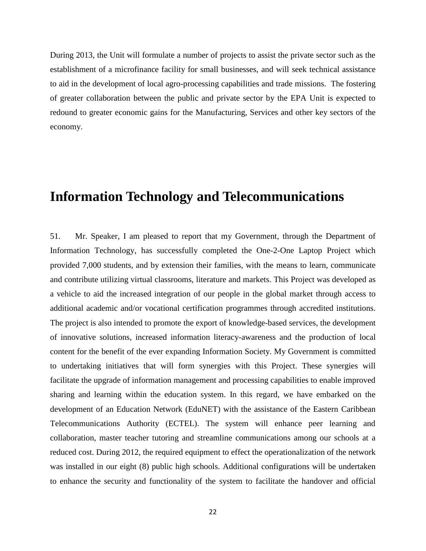During 2013, the Unit will formulate a number of projects to assist the private sector such as the establishment of a microfinance facility for small businesses, and will seek technical assistance to aid in the development of local agro-processing capabilities and trade missions. The fostering of greater collaboration between the public and private sector by the EPA Unit is expected to redound to greater economic gains for the Manufacturing, Services and other key sectors of the economy.

## **Information Technology and Telecommunications**

51. Mr. Speaker, I am pleased to report that my Government, through the Department of Information Technology, has successfully completed the One-2-One Laptop Project which provided 7,000 students, and by extension their families, with the means to learn, communicate and contribute utilizing virtual classrooms, literature and markets. This Project was developed as a vehicle to aid the increased integration of our people in the global market through access to additional academic and/or vocational certification programmes through accredited institutions. The project is also intended to promote the export of knowledge-based services, the development of innovative solutions, increased information literacy-awareness and the production of local content for the benefit of the ever expanding Information Society. My Government is committed to undertaking initiatives that will form synergies with this Project. These synergies will facilitate the upgrade of information management and processing capabilities to enable improved sharing and learning within the education system. In this regard, we have embarked on the development of an Education Network (EduNET) with the assistance of the Eastern Caribbean Telecommunications Authority (ECTEL). The system will enhance peer learning and collaboration, master teacher tutoring and streamline communications among our schools at a reduced cost. During 2012, the required equipment to effect the operationalization of the network was installed in our eight (8) public high schools. Additional configurations will be undertaken to enhance the security and functionality of the system to facilitate the handover and official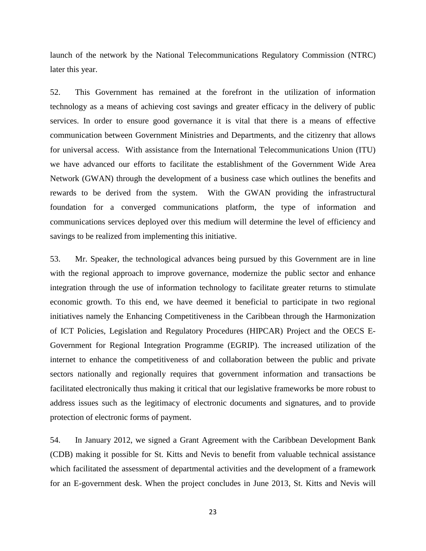launch of the network by the National Telecommunications Regulatory Commission (NTRC) later this year.

52. This Government has remained at the forefront in the utilization of information technology as a means of achieving cost savings and greater efficacy in the delivery of public services. In order to ensure good governance it is vital that there is a means of effective communication between Government Ministries and Departments, and the citizenry that allows for universal access. With assistance from the International Telecommunications Union (ITU) we have advanced our efforts to facilitate the establishment of the Government Wide Area Network (GWAN) through the development of a business case which outlines the benefits and rewards to be derived from the system. With the GWAN providing the infrastructural foundation for a converged communications platform, the type of information and communications services deployed over this medium will determine the level of efficiency and savings to be realized from implementing this initiative.

53. Mr. Speaker, the technological advances being pursued by this Government are in line with the regional approach to improve governance, modernize the public sector and enhance integration through the use of information technology to facilitate greater returns to stimulate economic growth. To this end, we have deemed it beneficial to participate in two regional initiatives namely the Enhancing Competitiveness in the Caribbean through the Harmonization of ICT Policies, Legislation and Regulatory Procedures (HIPCAR) Project and the OECS E-Government for Regional Integration Programme (EGRIP). The increased utilization of the internet to enhance the competitiveness of and collaboration between the public and private sectors nationally and regionally requires that government information and transactions be facilitated electronically thus making it critical that our legislative frameworks be more robust to address issues such as the legitimacy of electronic documents and signatures, and to provide protection of electronic forms of payment.

54. In January 2012, we signed a Grant Agreement with the Caribbean Development Bank (CDB) making it possible for St. Kitts and Nevis to benefit from valuable technical assistance which facilitated the assessment of departmental activities and the development of a framework for an E-government desk. When the project concludes in June 2013, St. Kitts and Nevis will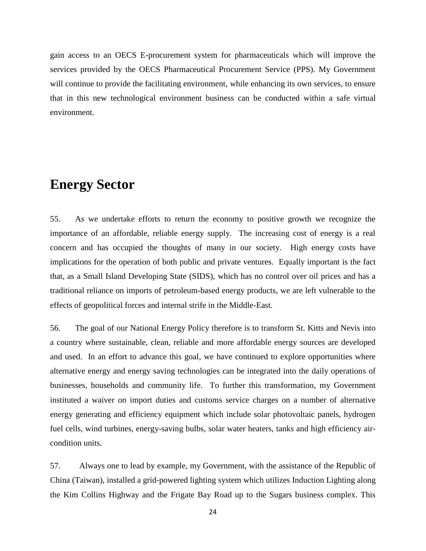gain access to an OECS E-procurement system for pharmaceuticals which will improve the services provided by the OECS Pharmaceutical Procurement Service (PPS). My Government will continue to provide the facilitating environment, while enhancing its own services, to ensure that in this new technological environment business can be conducted within a safe virtual environment.

### **Energy Sector**

55. As we undertake efforts to return the economy to positive growth we recognize the importance of an affordable, reliable energy supply. The increasing cost of energy is a real concern and has occupied the thoughts of many in our society. High energy costs have implications for the operation of both public and private ventures. Equally important is the fact that, as a Small Island Developing State (SIDS), which has no control over oil prices and has a traditional reliance on imports of petroleum-based energy products, we are left vulnerable to the effects of geopolitical forces and internal strife in the Middle-East.

56. The goal of our National Energy Policy therefore is to transform St. Kitts and Nevis into a country where sustainable, clean, reliable and more affordable energy sources are developed and used. In an effort to advance this goal, we have continued to explore opportunities where alternative energy and energy saving technologies can be integrated into the daily operations of businesses, households and community life. To further this transformation, my Government instituted a waiver on import duties and customs service charges on a number of alternative energy generating and efficiency equipment which include solar photovoltaic panels, hydrogen fuel cells, wind turbines, energy-saving bulbs, solar water heaters, tanks and high efficiency aircondition units.

57. Always one to lead by example, my Government, with the assistance of the Republic of China (Taiwan), installed a grid-powered lighting system which utilizes Induction Lighting along the Kim Collins Highway and the Frigate Bay Road up to the Sugars business complex. This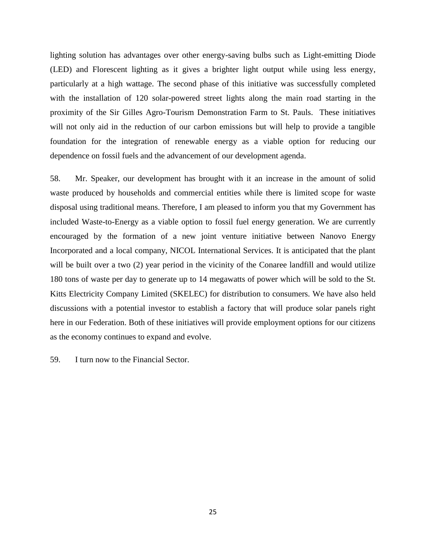lighting solution has advantages over other energy-saving bulbs such as Light-emitting Diode (LED) and Florescent lighting as it gives a brighter light output while using less energy, particularly at a high wattage. The second phase of this initiative was successfully completed with the installation of 120 solar-powered street lights along the main road starting in the proximity of the Sir Gilles Agro-Tourism Demonstration Farm to St. Pauls. These initiatives will not only aid in the reduction of our carbon emissions but will help to provide a tangible foundation for the integration of renewable energy as a viable option for reducing our dependence on fossil fuels and the advancement of our development agenda.

58. Mr. Speaker, our development has brought with it an increase in the amount of solid waste produced by households and commercial entities while there is limited scope for waste disposal using traditional means. Therefore, I am pleased to inform you that my Government has included Waste-to-Energy as a viable option to fossil fuel energy generation. We are currently encouraged by the formation of a new joint venture initiative between Nanovo Energy Incorporated and a local company, NICOL International Services. It is anticipated that the plant will be built over a two  $(2)$  year period in the vicinity of the Conaree landfill and would utilize 180 tons of waste per day to generate up to 14 megawatts of power which will be sold to the St. Kitts Electricity Company Limited (SKELEC) for distribution to consumers. We have also held discussions with a potential investor to establish a factory that will produce solar panels right here in our Federation. Both of these initiatives will provide employment options for our citizens as the economy continues to expand and evolve.

59. I turn now to the Financial Sector.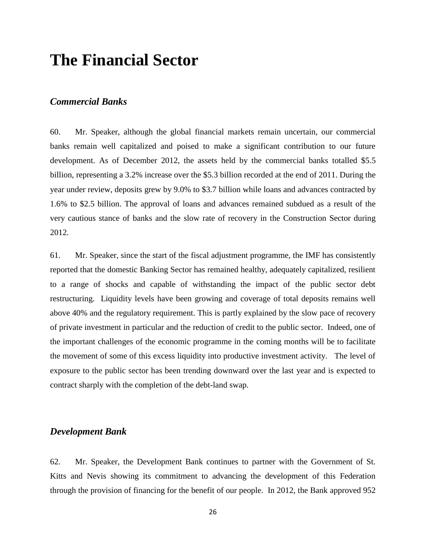## **The Financial Sector**

#### *Commercial Banks*

60. Mr. Speaker, although the global financial markets remain uncertain, our commercial banks remain well capitalized and poised to make a significant contribution to our future development. As of December 2012, the assets held by the commercial banks totalled \$5.5 billion, representing a 3.2% increase over the \$5.3 billion recorded at the end of 2011. During the year under review, deposits grew by 9.0% to \$3.7 billion while loans and advances contracted by 1.6% to \$2.5 billion. The approval of loans and advances remained subdued as a result of the very cautious stance of banks and the slow rate of recovery in the Construction Sector during 2012.

61. Mr. Speaker, since the start of the fiscal adjustment programme, the IMF has consistently reported that the domestic Banking Sector has remained healthy, adequately capitalized, resilient to a range of shocks and capable of withstanding the impact of the public sector debt restructuring. Liquidity levels have been growing and coverage of total deposits remains well above 40% and the regulatory requirement. This is partly explained by the slow pace of recovery of private investment in particular and the reduction of credit to the public sector. Indeed, one of the important challenges of the economic programme in the coming months will be to facilitate the movement of some of this excess liquidity into productive investment activity. The level of exposure to the public sector has been trending downward over the last year and is expected to contract sharply with the completion of the debt-land swap.

#### *Development Bank*

62. Mr. Speaker, the Development Bank continues to partner with the Government of St. Kitts and Nevis showing its commitment to advancing the development of this Federation through the provision of financing for the benefit of our people. In 2012, the Bank approved 952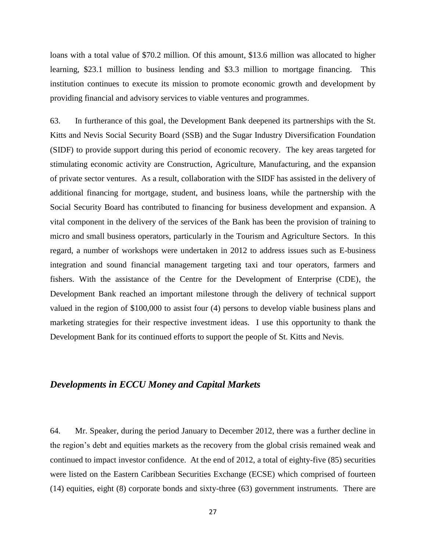loans with a total value of \$70.2 million. Of this amount, \$13.6 million was allocated to higher learning, \$23.1 million to business lending and \$3.3 million to mortgage financing. This institution continues to execute its mission to promote economic growth and development by providing financial and advisory services to viable ventures and programmes.

63. In furtherance of this goal, the Development Bank deepened its partnerships with the St. Kitts and Nevis Social Security Board (SSB) and the Sugar Industry Diversification Foundation (SIDF) to provide support during this period of economic recovery. The key areas targeted for stimulating economic activity are Construction, Agriculture, Manufacturing, and the expansion of private sector ventures. As a result, collaboration with the SIDF has assisted in the delivery of additional financing for mortgage, student, and business loans, while the partnership with the Social Security Board has contributed to financing for business development and expansion. A vital component in the delivery of the services of the Bank has been the provision of training to micro and small business operators, particularly in the Tourism and Agriculture Sectors. In this regard, a number of workshops were undertaken in 2012 to address issues such as E-business integration and sound financial management targeting taxi and tour operators, farmers and fishers. With the assistance of the Centre for the Development of Enterprise (CDE), the Development Bank reached an important milestone through the delivery of technical support valued in the region of \$100,000 to assist four (4) persons to develop viable business plans and marketing strategies for their respective investment ideas. I use this opportunity to thank the Development Bank for its continued efforts to support the people of St. Kitts and Nevis.

#### *Developments in ECCU Money and Capital Markets*

64. Mr. Speaker, during the period January to December 2012, there was a further decline in the region's debt and equities markets as the recovery from the global crisis remained weak and continued to impact investor confidence. At the end of 2012, a total of eighty-five (85) securities were listed on the Eastern Caribbean Securities Exchange (ECSE) which comprised of fourteen (14) equities, eight (8) corporate bonds and sixty-three (63) government instruments. There are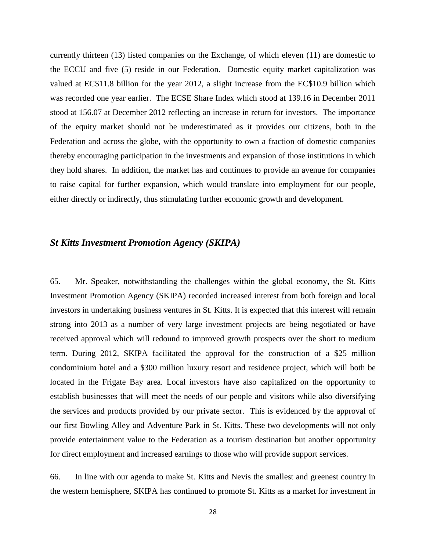currently thirteen (13) listed companies on the Exchange, of which eleven (11) are domestic to the ECCU and five (5) reside in our Federation. Domestic equity market capitalization was valued at EC\$11.8 billion for the year 2012, a slight increase from the EC\$10.9 billion which was recorded one year earlier. The ECSE Share Index which stood at 139.16 in December 2011 stood at 156.07 at December 2012 reflecting an increase in return for investors. The importance of the equity market should not be underestimated as it provides our citizens, both in the Federation and across the globe, with the opportunity to own a fraction of domestic companies thereby encouraging participation in the investments and expansion of those institutions in which they hold shares. In addition, the market has and continues to provide an avenue for companies to raise capital for further expansion, which would translate into employment for our people, either directly or indirectly, thus stimulating further economic growth and development.

#### *St Kitts Investment Promotion Agency (SKIPA)*

65. Mr. Speaker, notwithstanding the challenges within the global economy, the St. Kitts Investment Promotion Agency (SKIPA) recorded increased interest from both foreign and local investors in undertaking business ventures in St. Kitts. It is expected that this interest will remain strong into 2013 as a number of very large investment projects are being negotiated or have received approval which will redound to improved growth prospects over the short to medium term. During 2012, SKIPA facilitated the approval for the construction of a \$25 million condominium hotel and a \$300 million luxury resort and residence project, which will both be located in the Frigate Bay area. Local investors have also capitalized on the opportunity to establish businesses that will meet the needs of our people and visitors while also diversifying the services and products provided by our private sector. This is evidenced by the approval of our first Bowling Alley and Adventure Park in St. Kitts. These two developments will not only provide entertainment value to the Federation as a tourism destination but another opportunity for direct employment and increased earnings to those who will provide support services.

66. In line with our agenda to make St. Kitts and Nevis the smallest and greenest country in the western hemisphere, SKIPA has continued to promote St. Kitts as a market for investment in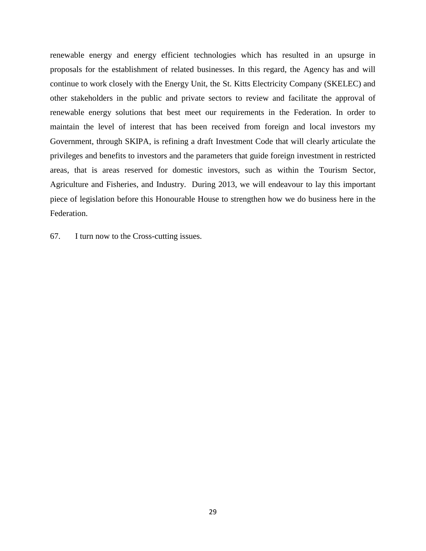renewable energy and energy efficient technologies which has resulted in an upsurge in proposals for the establishment of related businesses. In this regard, the Agency has and will continue to work closely with the Energy Unit, the St. Kitts Electricity Company (SKELEC) and other stakeholders in the public and private sectors to review and facilitate the approval of renewable energy solutions that best meet our requirements in the Federation. In order to maintain the level of interest that has been received from foreign and local investors my Government, through SKIPA, is refining a draft Investment Code that will clearly articulate the privileges and benefits to investors and the parameters that guide foreign investment in restricted areas, that is areas reserved for domestic investors, such as within the Tourism Sector, Agriculture and Fisheries, and Industry. During 2013, we will endeavour to lay this important piece of legislation before this Honourable House to strengthen how we do business here in the Federation.

67. I turn now to the Cross-cutting issues.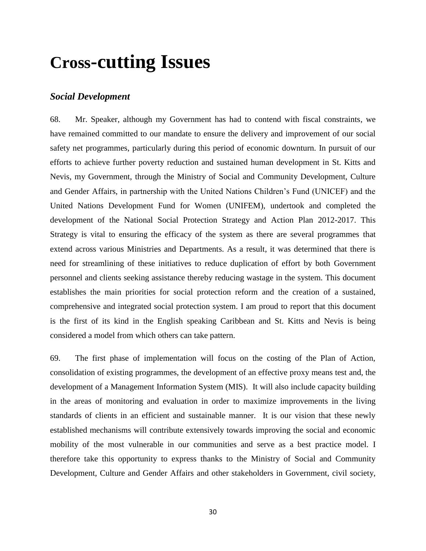# **Cross-cutting Issues**

#### *Social Development*

68. Mr. Speaker, although my Government has had to contend with fiscal constraints, we have remained committed to our mandate to ensure the delivery and improvement of our social safety net programmes, particularly during this period of economic downturn. In pursuit of our efforts to achieve further poverty reduction and sustained human development in St. Kitts and Nevis, my Government, through the Ministry of Social and Community Development, Culture and Gender Affairs, in partnership with the United Nations Children's Fund (UNICEF) and the United Nations Development Fund for Women (UNIFEM), undertook and completed the development of the National Social Protection Strategy and Action Plan 2012-2017. This Strategy is vital to ensuring the efficacy of the system as there are several programmes that extend across various Ministries and Departments. As a result, it was determined that there is need for streamlining of these initiatives to reduce duplication of effort by both Government personnel and clients seeking assistance thereby reducing wastage in the system. This document establishes the main priorities for social protection reform and the creation of a sustained, comprehensive and integrated social protection system. I am proud to report that this document is the first of its kind in the English speaking Caribbean and St. Kitts and Nevis is being considered a model from which others can take pattern.

69. The first phase of implementation will focus on the costing of the Plan of Action, consolidation of existing programmes, the development of an effective proxy means test and, the development of a Management Information System (MIS). It will also include capacity building in the areas of monitoring and evaluation in order to maximize improvements in the living standards of clients in an efficient and sustainable manner. It is our vision that these newly established mechanisms will contribute extensively towards improving the social and economic mobility of the most vulnerable in our communities and serve as a best practice model. I therefore take this opportunity to express thanks to the Ministry of Social and Community Development, Culture and Gender Affairs and other stakeholders in Government, civil society,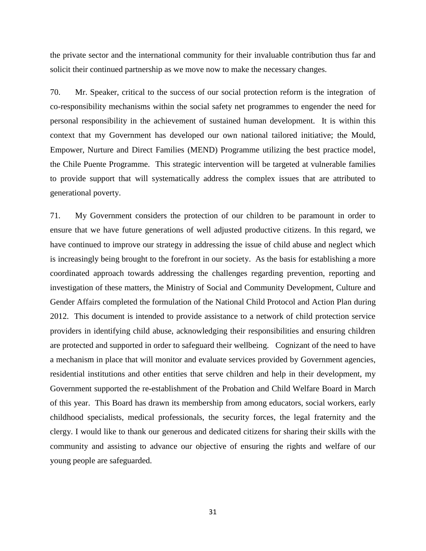the private sector and the international community for their invaluable contribution thus far and solicit their continued partnership as we move now to make the necessary changes.

70. Mr. Speaker, critical to the success of our social protection reform is the integration of co-responsibility mechanisms within the social safety net programmes to engender the need for personal responsibility in the achievement of sustained human development. It is within this context that my Government has developed our own national tailored initiative; the Mould, Empower, Nurture and Direct Families (MEND) Programme utilizing the best practice model, the Chile Puente Programme. This strategic intervention will be targeted at vulnerable families to provide support that will systematically address the complex issues that are attributed to generational poverty.

71. My Government considers the protection of our children to be paramount in order to ensure that we have future generations of well adjusted productive citizens. In this regard, we have continued to improve our strategy in addressing the issue of child abuse and neglect which is increasingly being brought to the forefront in our society. As the basis for establishing a more coordinated approach towards addressing the challenges regarding prevention, reporting and investigation of these matters, the Ministry of Social and Community Development, Culture and Gender Affairs completed the formulation of the National Child Protocol and Action Plan during 2012. This document is intended to provide assistance to a network of child protection service providers in identifying child abuse, acknowledging their responsibilities and ensuring children are protected and supported in order to safeguard their wellbeing. Cognizant of the need to have a mechanism in place that will monitor and evaluate services provided by Government agencies, residential institutions and other entities that serve children and help in their development, my Government supported the re-establishment of the Probation and Child Welfare Board in March of this year. This Board has drawn its membership from among educators, social workers, early childhood specialists, medical professionals, the security forces, the legal fraternity and the clergy. I would like to thank our generous and dedicated citizens for sharing their skills with the community and assisting to advance our objective of ensuring the rights and welfare of our young people are safeguarded.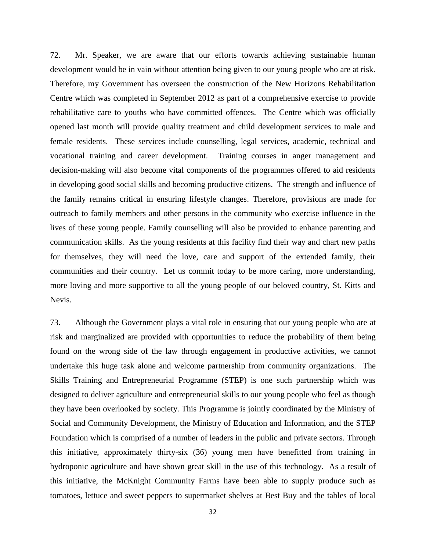72. Mr. Speaker, we are aware that our efforts towards achieving sustainable human development would be in vain without attention being given to our young people who are at risk. Therefore, my Government has overseen the construction of the New Horizons Rehabilitation Centre which was completed in September 2012 as part of a comprehensive exercise to provide rehabilitative care to youths who have committed offences. The Centre which was officially opened last month will provide quality treatment and child development services to male and female residents. These services include counselling, legal services, academic, technical and vocational training and career development. Training courses in anger management and decision-making will also become vital components of the programmes offered to aid residents in developing good social skills and becoming productive citizens. The strength and influence of the family remains critical in ensuring lifestyle changes. Therefore, provisions are made for outreach to family members and other persons in the community who exercise influence in the lives of these young people. Family counselling will also be provided to enhance parenting and communication skills. As the young residents at this facility find their way and chart new paths for themselves, they will need the love, care and support of the extended family, their communities and their country. Let us commit today to be more caring, more understanding, more loving and more supportive to all the young people of our beloved country, St. Kitts and Nevis.

73. Although the Government plays a vital role in ensuring that our young people who are at risk and marginalized are provided with opportunities to reduce the probability of them being found on the wrong side of the law through engagement in productive activities, we cannot undertake this huge task alone and welcome partnership from community organizations. The Skills Training and Entrepreneurial Programme (STEP) is one such partnership which was designed to deliver agriculture and entrepreneurial skills to our young people who feel as though they have been overlooked by society. This Programme is jointly coordinated by the Ministry of Social and Community Development, the Ministry of Education and Information, and the STEP Foundation which is comprised of a number of leaders in the public and private sectors. Through this initiative, approximately thirty-six (36) young men have benefitted from training in hydroponic agriculture and have shown great skill in the use of this technology. As a result of this initiative, the McKnight Community Farms have been able to supply produce such as tomatoes, lettuce and sweet peppers to supermarket shelves at Best Buy and the tables of local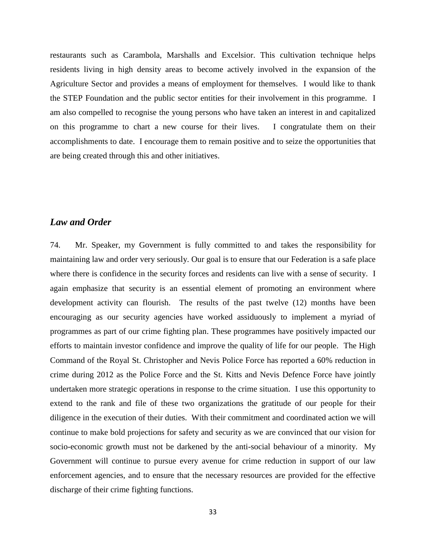restaurants such as Carambola, Marshalls and Excelsior. This cultivation technique helps residents living in high density areas to become actively involved in the expansion of the Agriculture Sector and provides a means of employment for themselves. I would like to thank the STEP Foundation and the public sector entities for their involvement in this programme. I am also compelled to recognise the young persons who have taken an interest in and capitalized on this programme to chart a new course for their lives. I congratulate them on their accomplishments to date. I encourage them to remain positive and to seize the opportunities that are being created through this and other initiatives.

#### *Law and Order*

74. Mr. Speaker, my Government is fully committed to and takes the responsibility for maintaining law and order very seriously. Our goal is to ensure that our Federation is a safe place where there is confidence in the security forces and residents can live with a sense of security. I again emphasize that security is an essential element of promoting an environment where development activity can flourish. The results of the past twelve (12) months have been encouraging as our security agencies have worked assiduously to implement a myriad of programmes as part of our crime fighting plan. These programmes have positively impacted our efforts to maintain investor confidence and improve the quality of life for our people. The High Command of the Royal St. Christopher and Nevis Police Force has reported a 60% reduction in crime during 2012 as the Police Force and the St. Kitts and Nevis Defence Force have jointly undertaken more strategic operations in response to the crime situation. I use this opportunity to extend to the rank and file of these two organizations the gratitude of our people for their diligence in the execution of their duties. With their commitment and coordinated action we will continue to make bold projections for safety and security as we are convinced that our vision for socio-economic growth must not be darkened by the anti-social behaviour of a minority. My Government will continue to pursue every avenue for crime reduction in support of our law enforcement agencies, and to ensure that the necessary resources are provided for the effective discharge of their crime fighting functions.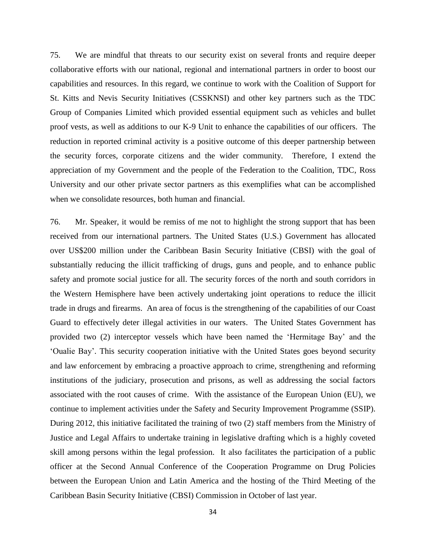75. We are mindful that threats to our security exist on several fronts and require deeper collaborative efforts with our national, regional and international partners in order to boost our capabilities and resources. In this regard, we continue to work with the Coalition of Support for St. Kitts and Nevis Security Initiatives (CSSKNSI) and other key partners such as the TDC Group of Companies Limited which provided essential equipment such as vehicles and bullet proof vests, as well as additions to our K-9 Unit to enhance the capabilities of our officers. The reduction in reported criminal activity is a positive outcome of this deeper partnership between the security forces, corporate citizens and the wider community. Therefore, I extend the appreciation of my Government and the people of the Federation to the Coalition, TDC, Ross University and our other private sector partners as this exemplifies what can be accomplished when we consolidate resources, both human and financial.

76. Mr. Speaker, it would be remiss of me not to highlight the strong support that has been received from our international partners. The United States (U.S.) Government has allocated over US\$200 million under the Caribbean Basin Security Initiative (CBSI) with the goal of substantially reducing the illicit trafficking of drugs, guns and people, and to enhance public safety and promote social justice for all. The security forces of the north and south corridors in the Western Hemisphere have been actively undertaking joint operations to reduce the illicit trade in drugs and firearms. An area of focus is the strengthening of the capabilities of our Coast Guard to effectively deter illegal activities in our waters. The United States Government has provided two (2) interceptor vessels which have been named the 'Hermitage Bay' and the 'Oualie Bay'. This security cooperation initiative with the United States goes beyond security and law enforcement by embracing a proactive approach to crime, strengthening and reforming institutions of the judiciary, prosecution and prisons, as well as addressing the social factors associated with the root causes of crime. With the assistance of the European Union (EU), we continue to implement activities under the Safety and Security Improvement Programme (SSIP). During 2012, this initiative facilitated the training of two (2) staff members from the Ministry of Justice and Legal Affairs to undertake training in legislative drafting which is a highly coveted skill among persons within the legal profession. It also facilitates the participation of a public officer at the Second Annual Conference of the Cooperation Programme on Drug Policies between the European Union and Latin America and the hosting of the Third Meeting of the Caribbean Basin Security Initiative (CBSI) Commission in October of last year.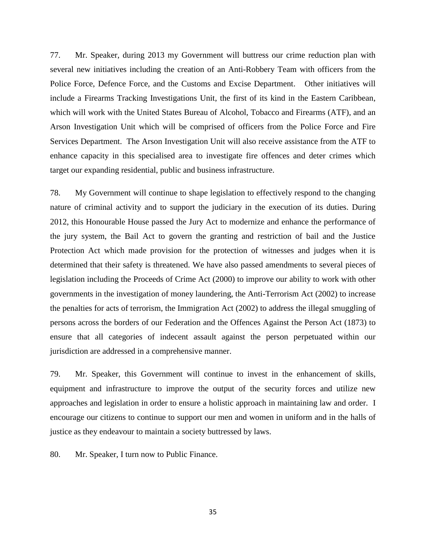77. Mr. Speaker, during 2013 my Government will buttress our crime reduction plan with several new initiatives including the creation of an Anti-Robbery Team with officers from the Police Force, Defence Force, and the Customs and Excise Department. Other initiatives will include a Firearms Tracking Investigations Unit, the first of its kind in the Eastern Caribbean, which will work with the United States Bureau of Alcohol, Tobacco and Firearms (ATF), and an Arson Investigation Unit which will be comprised of officers from the Police Force and Fire Services Department. The Arson Investigation Unit will also receive assistance from the ATF to enhance capacity in this specialised area to investigate fire offences and deter crimes which target our expanding residential, public and business infrastructure.

78. My Government will continue to shape legislation to effectively respond to the changing nature of criminal activity and to support the judiciary in the execution of its duties. During 2012, this Honourable House passed the Jury Act to modernize and enhance the performance of the jury system, the Bail Act to govern the granting and restriction of bail and the Justice Protection Act which made provision for the protection of witnesses and judges when it is determined that their safety is threatened. We have also passed amendments to several pieces of legislation including the Proceeds of Crime Act (2000) to improve our ability to work with other governments in the investigation of money laundering, the Anti-Terrorism Act (2002) to increase the penalties for acts of terrorism, the Immigration Act (2002) to address the illegal smuggling of persons across the borders of our Federation and the Offences Against the Person Act (1873) to ensure that all categories of indecent assault against the person perpetuated within our jurisdiction are addressed in a comprehensive manner.

79. Mr. Speaker, this Government will continue to invest in the enhancement of skills, equipment and infrastructure to improve the output of the security forces and utilize new approaches and legislation in order to ensure a holistic approach in maintaining law and order. I encourage our citizens to continue to support our men and women in uniform and in the halls of justice as they endeavour to maintain a society buttressed by laws.

80. Mr. Speaker, I turn now to Public Finance.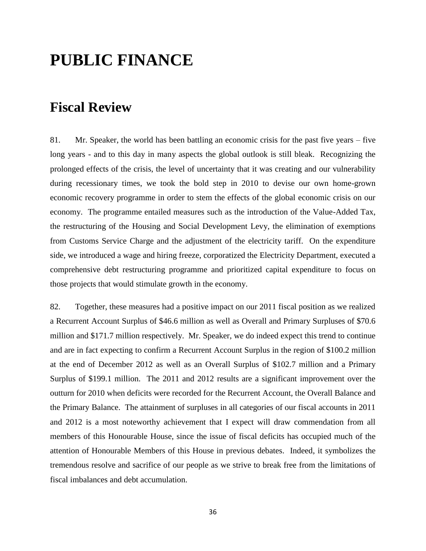# **PUBLIC FINANCE**

## **Fiscal Review**

81. Mr. Speaker, the world has been battling an economic crisis for the past five years – five long years - and to this day in many aspects the global outlook is still bleak. Recognizing the prolonged effects of the crisis, the level of uncertainty that it was creating and our vulnerability during recessionary times, we took the bold step in 2010 to devise our own home-grown economic recovery programme in order to stem the effects of the global economic crisis on our economy. The programme entailed measures such as the introduction of the Value-Added Tax, the restructuring of the Housing and Social Development Levy, the elimination of exemptions from Customs Service Charge and the adjustment of the electricity tariff. On the expenditure side, we introduced a wage and hiring freeze, corporatized the Electricity Department, executed a comprehensive debt restructuring programme and prioritized capital expenditure to focus on those projects that would stimulate growth in the economy.

82. Together, these measures had a positive impact on our 2011 fiscal position as we realized a Recurrent Account Surplus of \$46.6 million as well as Overall and Primary Surpluses of \$70.6 million and \$171.7 million respectively. Mr. Speaker, we do indeed expect this trend to continue and are in fact expecting to confirm a Recurrent Account Surplus in the region of \$100.2 million at the end of December 2012 as well as an Overall Surplus of \$102.7 million and a Primary Surplus of \$199.1 million. The 2011 and 2012 results are a significant improvement over the outturn for 2010 when deficits were recorded for the Recurrent Account, the Overall Balance and the Primary Balance. The attainment of surpluses in all categories of our fiscal accounts in 2011 and 2012 is a most noteworthy achievement that I expect will draw commendation from all members of this Honourable House, since the issue of fiscal deficits has occupied much of the attention of Honourable Members of this House in previous debates. Indeed, it symbolizes the tremendous resolve and sacrifice of our people as we strive to break free from the limitations of fiscal imbalances and debt accumulation.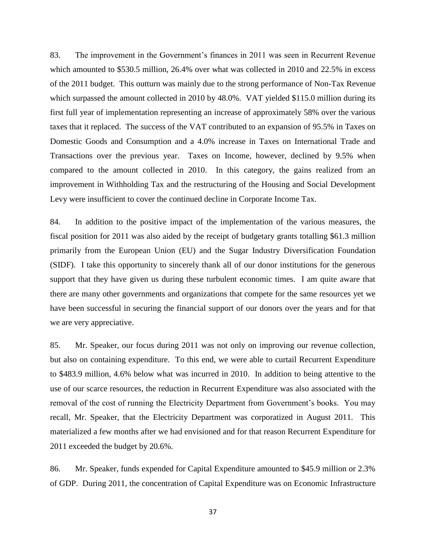83. The improvement in the Government's finances in 2011 was seen in Recurrent Revenue which amounted to \$530.5 million, 26.4% over what was collected in 2010 and 22.5% in excess of the 2011 budget. This outturn was mainly due to the strong performance of Non-Tax Revenue which surpassed the amount collected in 2010 by 48.0%. VAT yielded \$115.0 million during its first full year of implementation representing an increase of approximately 58% over the various taxes that it replaced. The success of the VAT contributed to an expansion of 95.5% in Taxes on Domestic Goods and Consumption and a 4.0% increase in Taxes on International Trade and Transactions over the previous year. Taxes on Income, however, declined by 9.5% when compared to the amount collected in 2010. In this category, the gains realized from an improvement in Withholding Tax and the restructuring of the Housing and Social Development Levy were insufficient to cover the continued decline in Corporate Income Tax.

84. In addition to the positive impact of the implementation of the various measures, the fiscal position for 2011 was also aided by the receipt of budgetary grants totalling \$61.3 million primarily from the European Union (EU) and the Sugar Industry Diversification Foundation (SIDF). I take this opportunity to sincerely thank all of our donor institutions for the generous support that they have given us during these turbulent economic times. I am quite aware that there are many other governments and organizations that compete for the same resources yet we have been successful in securing the financial support of our donors over the years and for that we are very appreciative.

85. Mr. Speaker, our focus during 2011 was not only on improving our revenue collection, but also on containing expenditure. To this end, we were able to curtail Recurrent Expenditure to \$483.9 million, 4.6% below what was incurred in 2010. In addition to being attentive to the use of our scarce resources, the reduction in Recurrent Expenditure was also associated with the removal of the cost of running the Electricity Department from Government's books. You may recall, Mr. Speaker, that the Electricity Department was corporatized in August 2011. This materialized a few months after we had envisioned and for that reason Recurrent Expenditure for 2011 exceeded the budget by 20.6%.

86. Mr. Speaker, funds expended for Capital Expenditure amounted to \$45.9 million or 2.3% of GDP. During 2011, the concentration of Capital Expenditure was on Economic Infrastructure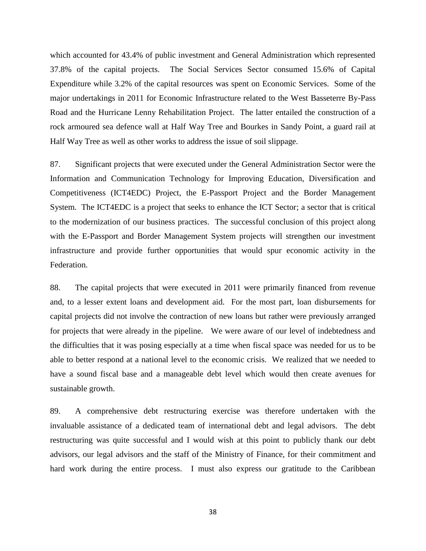which accounted for 43.4% of public investment and General Administration which represented 37.8% of the capital projects. The Social Services Sector consumed 15.6% of Capital Expenditure while 3.2% of the capital resources was spent on Economic Services. Some of the major undertakings in 2011 for Economic Infrastructure related to the West Basseterre By-Pass Road and the Hurricane Lenny Rehabilitation Project. The latter entailed the construction of a rock armoured sea defence wall at Half Way Tree and Bourkes in Sandy Point, a guard rail at Half Way Tree as well as other works to address the issue of soil slippage.

87. Significant projects that were executed under the General Administration Sector were the Information and Communication Technology for Improving Education, Diversification and Competitiveness (ICT4EDC) Project, the E-Passport Project and the Border Management System. The ICT4EDC is a project that seeks to enhance the ICT Sector; a sector that is critical to the modernization of our business practices. The successful conclusion of this project along with the E-Passport and Border Management System projects will strengthen our investment infrastructure and provide further opportunities that would spur economic activity in the Federation.

88. The capital projects that were executed in 2011 were primarily financed from revenue and, to a lesser extent loans and development aid. For the most part, loan disbursements for capital projects did not involve the contraction of new loans but rather were previously arranged for projects that were already in the pipeline. We were aware of our level of indebtedness and the difficulties that it was posing especially at a time when fiscal space was needed for us to be able to better respond at a national level to the economic crisis. We realized that we needed to have a sound fiscal base and a manageable debt level which would then create avenues for sustainable growth.

89. A comprehensive debt restructuring exercise was therefore undertaken with the invaluable assistance of a dedicated team of international debt and legal advisors. The debt restructuring was quite successful and I would wish at this point to publicly thank our debt advisors, our legal advisors and the staff of the Ministry of Finance, for their commitment and hard work during the entire process. I must also express our gratitude to the Caribbean

38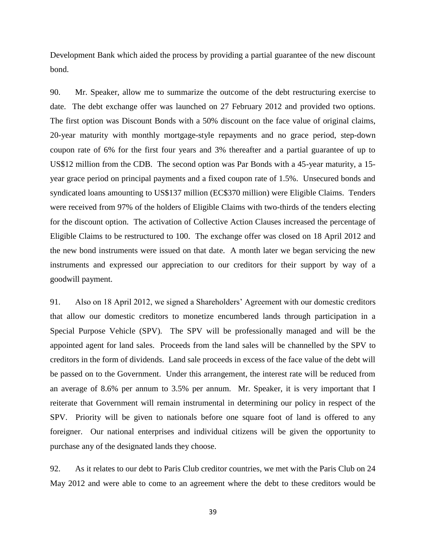Development Bank which aided the process by providing a partial guarantee of the new discount bond.

90. Mr. Speaker, allow me to summarize the outcome of the debt restructuring exercise to date. The debt exchange offer was launched on 27 February 2012 and provided two options. The first option was Discount Bonds with a 50% discount on the face value of original claims, 20-year maturity with monthly mortgage-style repayments and no grace period, step-down coupon rate of 6% for the first four years and 3% thereafter and a partial guarantee of up to US\$12 million from the CDB. The second option was Par Bonds with a 45-year maturity, a 15 year grace period on principal payments and a fixed coupon rate of 1.5%. Unsecured bonds and syndicated loans amounting to US\$137 million (EC\$370 million) were Eligible Claims. Tenders were received from 97% of the holders of Eligible Claims with two-thirds of the tenders electing for the discount option. The activation of Collective Action Clauses increased the percentage of Eligible Claims to be restructured to 100. The exchange offer was closed on 18 April 2012 and the new bond instruments were issued on that date. A month later we began servicing the new instruments and expressed our appreciation to our creditors for their support by way of a goodwill payment.

91. Also on 18 April 2012, we signed a Shareholders' Agreement with our domestic creditors that allow our domestic creditors to monetize encumbered lands through participation in a Special Purpose Vehicle (SPV). The SPV will be professionally managed and will be the appointed agent for land sales. Proceeds from the land sales will be channelled by the SPV to creditors in the form of dividends. Land sale proceeds in excess of the face value of the debt will be passed on to the Government. Under this arrangement, the interest rate will be reduced from an average of 8.6% per annum to 3.5% per annum. Mr. Speaker, it is very important that I reiterate that Government will remain instrumental in determining our policy in respect of the SPV. Priority will be given to nationals before one square foot of land is offered to any foreigner. Our national enterprises and individual citizens will be given the opportunity to purchase any of the designated lands they choose.

92. As it relates to our debt to Paris Club creditor countries, we met with the Paris Club on 24 May 2012 and were able to come to an agreement where the debt to these creditors would be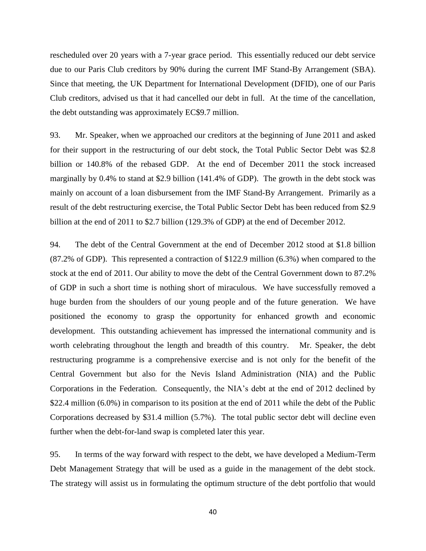rescheduled over 20 years with a 7-year grace period. This essentially reduced our debt service due to our Paris Club creditors by 90% during the current IMF Stand-By Arrangement (SBA). Since that meeting, the UK Department for International Development (DFID), one of our Paris Club creditors, advised us that it had cancelled our debt in full. At the time of the cancellation, the debt outstanding was approximately EC\$9.7 million.

93. Mr. Speaker, when we approached our creditors at the beginning of June 2011 and asked for their support in the restructuring of our debt stock, the Total Public Sector Debt was \$2.8 billion or 140.8% of the rebased GDP. At the end of December 2011 the stock increased marginally by 0.4% to stand at \$2.9 billion (141.4% of GDP). The growth in the debt stock was mainly on account of a loan disbursement from the IMF Stand-By Arrangement. Primarily as a result of the debt restructuring exercise, the Total Public Sector Debt has been reduced from \$2.9 billion at the end of 2011 to \$2.7 billion (129.3% of GDP) at the end of December 2012.

94. The debt of the Central Government at the end of December 2012 stood at \$1.8 billion (87.2% of GDP). This represented a contraction of \$122.9 million (6.3%) when compared to the stock at the end of 2011. Our ability to move the debt of the Central Government down to 87.2% of GDP in such a short time is nothing short of miraculous. We have successfully removed a huge burden from the shoulders of our young people and of the future generation. We have positioned the economy to grasp the opportunity for enhanced growth and economic development. This outstanding achievement has impressed the international community and is worth celebrating throughout the length and breadth of this country. Mr. Speaker, the debt restructuring programme is a comprehensive exercise and is not only for the benefit of the Central Government but also for the Nevis Island Administration (NIA) and the Public Corporations in the Federation. Consequently, the NIA's debt at the end of 2012 declined by \$22.4 million (6.0%) in comparison to its position at the end of 2011 while the debt of the Public Corporations decreased by \$31.4 million (5.7%). The total public sector debt will decline even further when the debt-for-land swap is completed later this year.

95. In terms of the way forward with respect to the debt, we have developed a Medium-Term Debt Management Strategy that will be used as a guide in the management of the debt stock. The strategy will assist us in formulating the optimum structure of the debt portfolio that would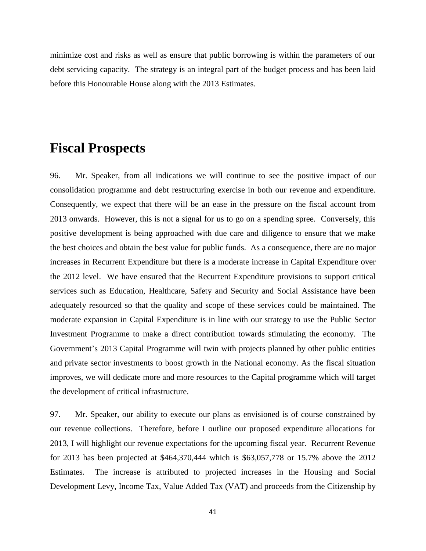minimize cost and risks as well as ensure that public borrowing is within the parameters of our debt servicing capacity. The strategy is an integral part of the budget process and has been laid before this Honourable House along with the 2013 Estimates.

#### **Fiscal Prospects**

96. Mr. Speaker, from all indications we will continue to see the positive impact of our consolidation programme and debt restructuring exercise in both our revenue and expenditure. Consequently, we expect that there will be an ease in the pressure on the fiscal account from 2013 onwards. However, this is not a signal for us to go on a spending spree. Conversely, this positive development is being approached with due care and diligence to ensure that we make the best choices and obtain the best value for public funds. As a consequence, there are no major increases in Recurrent Expenditure but there is a moderate increase in Capital Expenditure over the 2012 level. We have ensured that the Recurrent Expenditure provisions to support critical services such as Education, Healthcare, Safety and Security and Social Assistance have been adequately resourced so that the quality and scope of these services could be maintained. The moderate expansion in Capital Expenditure is in line with our strategy to use the Public Sector Investment Programme to make a direct contribution towards stimulating the economy. The Government's 2013 Capital Programme will twin with projects planned by other public entities and private sector investments to boost growth in the National economy. As the fiscal situation improves, we will dedicate more and more resources to the Capital programme which will target the development of critical infrastructure.

97. Mr. Speaker, our ability to execute our plans as envisioned is of course constrained by our revenue collections. Therefore, before I outline our proposed expenditure allocations for 2013, I will highlight our revenue expectations for the upcoming fiscal year. Recurrent Revenue for 2013 has been projected at \$464,370,444 which is \$63,057,778 or 15.7% above the 2012 Estimates. The increase is attributed to projected increases in the Housing and Social Development Levy, Income Tax, Value Added Tax (VAT) and proceeds from the Citizenship by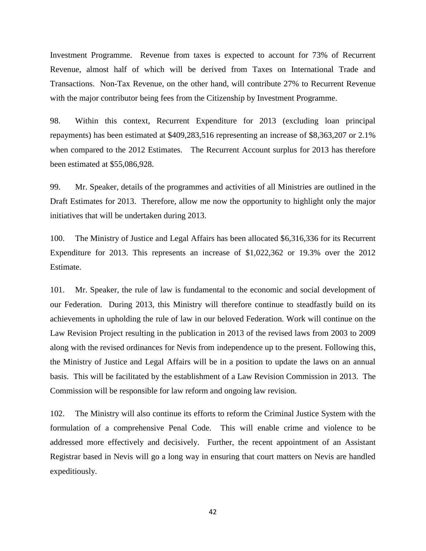Investment Programme. Revenue from taxes is expected to account for 73% of Recurrent Revenue, almost half of which will be derived from Taxes on International Trade and Transactions. Non-Tax Revenue, on the other hand, will contribute 27% to Recurrent Revenue with the major contributor being fees from the Citizenship by Investment Programme.

98. Within this context, Recurrent Expenditure for 2013 (excluding loan principal repayments) has been estimated at \$409,283,516 representing an increase of \$8,363,207 or 2.1% when compared to the 2012 Estimates. The Recurrent Account surplus for 2013 has therefore been estimated at \$55,086,928.

99. Mr. Speaker, details of the programmes and activities of all Ministries are outlined in the Draft Estimates for 2013. Therefore, allow me now the opportunity to highlight only the major initiatives that will be undertaken during 2013.

100. The Ministry of Justice and Legal Affairs has been allocated \$6,316,336 for its Recurrent Expenditure for 2013. This represents an increase of \$1,022,362 or 19.3% over the 2012 Estimate.

101. Mr. Speaker, the rule of law is fundamental to the economic and social development of our Federation. During 2013, this Ministry will therefore continue to steadfastly build on its achievements in upholding the rule of law in our beloved Federation. Work will continue on the Law Revision Project resulting in the publication in 2013 of the revised laws from 2003 to 2009 along with the revised ordinances for Nevis from independence up to the present. Following this, the Ministry of Justice and Legal Affairs will be in a position to update the laws on an annual basis. This will be facilitated by the establishment of a Law Revision Commission in 2013. The Commission will be responsible for law reform and ongoing law revision.

102. The Ministry will also continue its efforts to reform the Criminal Justice System with the formulation of a comprehensive Penal Code. This will enable crime and violence to be addressed more effectively and decisively. Further, the recent appointment of an Assistant Registrar based in Nevis will go a long way in ensuring that court matters on Nevis are handled expeditiously.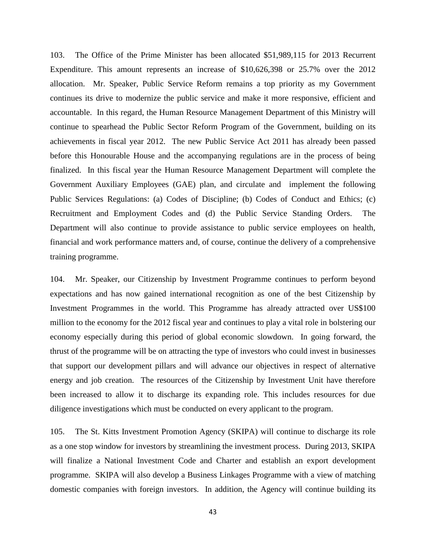103. The Office of the Prime Minister has been allocated \$51,989,115 for 2013 Recurrent Expenditure. This amount represents an increase of \$10,626,398 or 25.7% over the 2012 allocation. Mr. Speaker, Public Service Reform remains a top priority as my Government continues its drive to modernize the public service and make it more responsive, efficient and accountable. In this regard, the Human Resource Management Department of this Ministry will continue to spearhead the Public Sector Reform Program of the Government, building on its achievements in fiscal year 2012. The new Public Service Act 2011 has already been passed before this Honourable House and the accompanying regulations are in the process of being finalized. In this fiscal year the Human Resource Management Department will complete the Government Auxiliary Employees (GAE) plan, and circulate and implement the following Public Services Regulations: (a) Codes of Discipline; (b) Codes of Conduct and Ethics; (c) Recruitment and Employment Codes and (d) the Public Service Standing Orders. The Department will also continue to provide assistance to public service employees on health, financial and work performance matters and, of course, continue the delivery of a comprehensive training programme.

104. Mr. Speaker, our Citizenship by Investment Programme continues to perform beyond expectations and has now gained international recognition as one of the best Citizenship by Investment Programmes in the world. This Programme has already attracted over US\$100 million to the economy for the 2012 fiscal year and continues to play a vital role in bolstering our economy especially during this period of global economic slowdown. In going forward, the thrust of the programme will be on attracting the type of investors who could invest in businesses that support our development pillars and will advance our objectives in respect of alternative energy and job creation. The resources of the Citizenship by Investment Unit have therefore been increased to allow it to discharge its expanding role. This includes resources for due diligence investigations which must be conducted on every applicant to the program.

105. The St. Kitts Investment Promotion Agency (SKIPA) will continue to discharge its role as a one stop window for investors by streamlining the investment process. During 2013, SKIPA will finalize a National Investment Code and Charter and establish an export development programme. SKIPA will also develop a Business Linkages Programme with a view of matching domestic companies with foreign investors. In addition, the Agency will continue building its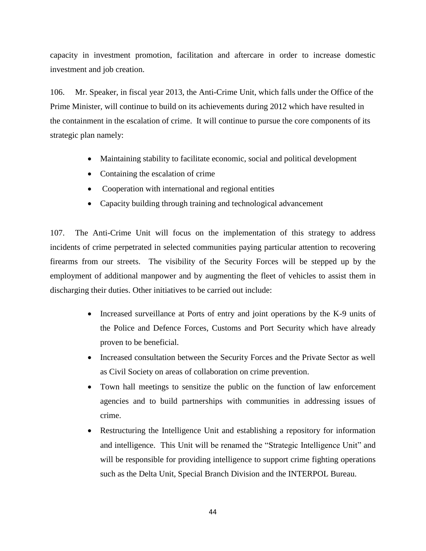capacity in investment promotion, facilitation and aftercare in order to increase domestic investment and job creation.

106. Mr. Speaker, in fiscal year 2013, the Anti-Crime Unit, which falls under the Office of the Prime Minister, will continue to build on its achievements during 2012 which have resulted in the containment in the escalation of crime. It will continue to pursue the core components of its strategic plan namely:

- Maintaining stability to facilitate economic, social and political development
- Containing the escalation of crime
- Cooperation with international and regional entities
- Capacity building through training and technological advancement

107. The Anti-Crime Unit will focus on the implementation of this strategy to address incidents of crime perpetrated in selected communities paying particular attention to recovering firearms from our streets. The visibility of the Security Forces will be stepped up by the employment of additional manpower and by augmenting the fleet of vehicles to assist them in discharging their duties. Other initiatives to be carried out include:

- Increased surveillance at Ports of entry and joint operations by the K-9 units of the Police and Defence Forces, Customs and Port Security which have already proven to be beneficial.
- Increased consultation between the Security Forces and the Private Sector as well as Civil Society on areas of collaboration on crime prevention.
- Town hall meetings to sensitize the public on the function of law enforcement agencies and to build partnerships with communities in addressing issues of crime.
- Restructuring the Intelligence Unit and establishing a repository for information and intelligence. This Unit will be renamed the "Strategic Intelligence Unit" and will be responsible for providing intelligence to support crime fighting operations such as the Delta Unit, Special Branch Division and the INTERPOL Bureau.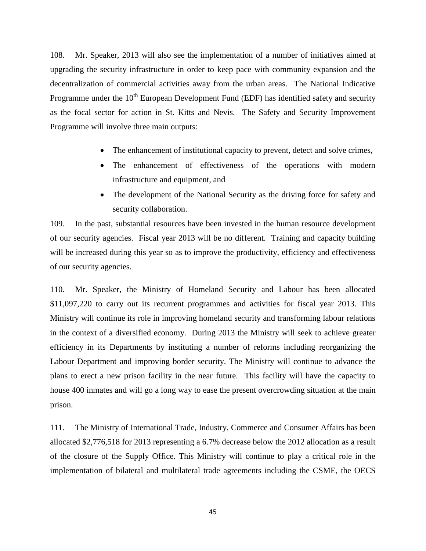108. Mr. Speaker, 2013 will also see the implementation of a number of initiatives aimed at upgrading the security infrastructure in order to keep pace with community expansion and the decentralization of commercial activities away from the urban areas. The National Indicative Programme under the  $10^{th}$  European Development Fund (EDF) has identified safety and security as the focal sector for action in St. Kitts and Nevis. The Safety and Security Improvement Programme will involve three main outputs:

- The enhancement of institutional capacity to prevent, detect and solve crimes,
- The enhancement of effectiveness of the operations with modern infrastructure and equipment, and
- The development of the National Security as the driving force for safety and security collaboration.

109. In the past, substantial resources have been invested in the human resource development of our security agencies. Fiscal year 2013 will be no different. Training and capacity building will be increased during this year so as to improve the productivity, efficiency and effectiveness of our security agencies.

110. Mr. Speaker, the Ministry of Homeland Security and Labour has been allocated \$11,097,220 to carry out its recurrent programmes and activities for fiscal year 2013. This Ministry will continue its role in improving homeland security and transforming labour relations in the context of a diversified economy. During 2013 the Ministry will seek to achieve greater efficiency in its Departments by instituting a number of reforms including reorganizing the Labour Department and improving border security. The Ministry will continue to advance the plans to erect a new prison facility in the near future. This facility will have the capacity to house 400 inmates and will go a long way to ease the present overcrowding situation at the main prison.

111. The Ministry of International Trade, Industry, Commerce and Consumer Affairs has been allocated \$2,776,518 for 2013 representing a 6.7% decrease below the 2012 allocation as a result of the closure of the Supply Office. This Ministry will continue to play a critical role in the implementation of bilateral and multilateral trade agreements including the CSME, the OECS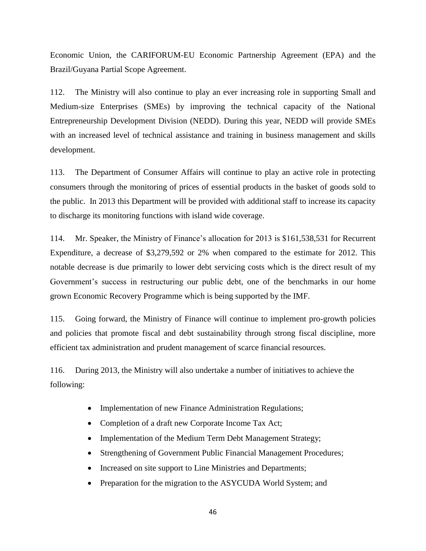Economic Union, the CARIFORUM-EU Economic Partnership Agreement (EPA) and the Brazil/Guyana Partial Scope Agreement.

112. The Ministry will also continue to play an ever increasing role in supporting Small and Medium-size Enterprises (SMEs) by improving the technical capacity of the National Entrepreneurship Development Division (NEDD). During this year, NEDD will provide SMEs with an increased level of technical assistance and training in business management and skills development.

113. The Department of Consumer Affairs will continue to play an active role in protecting consumers through the monitoring of prices of essential products in the basket of goods sold to the public. In 2013 this Department will be provided with additional staff to increase its capacity to discharge its monitoring functions with island wide coverage.

114. Mr. Speaker, the Ministry of Finance's allocation for 2013 is \$161,538,531 for Recurrent Expenditure, a decrease of \$3,279,592 or 2% when compared to the estimate for 2012. This notable decrease is due primarily to lower debt servicing costs which is the direct result of my Government's success in restructuring our public debt, one of the benchmarks in our home grown Economic Recovery Programme which is being supported by the IMF.

115. Going forward, the Ministry of Finance will continue to implement pro-growth policies and policies that promote fiscal and debt sustainability through strong fiscal discipline, more efficient tax administration and prudent management of scarce financial resources.

116. During 2013, the Ministry will also undertake a number of initiatives to achieve the following:

- Implementation of new Finance Administration Regulations;
- Completion of a draft new Corporate Income Tax Act;
- Implementation of the Medium Term Debt Management Strategy;
- Strengthening of Government Public Financial Management Procedures;
- Increased on site support to Line Ministries and Departments;
- Preparation for the migration to the ASYCUDA World System; and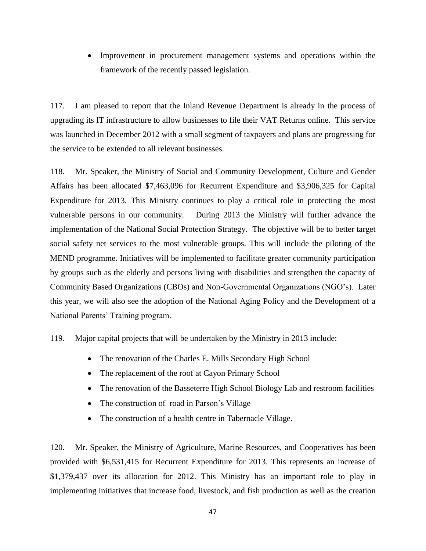Improvement in procurement management systems and operations within the framework of the recently passed legislation.

117. I am pleased to report that the Inland Revenue Department is already in the process of upgrading its IT infrastructure to allow businesses to file their VAT Returns online. This service was launched in December 2012 with a small segment of taxpayers and plans are progressing for the service to be extended to all relevant businesses.

118. Mr. Speaker, the Ministry of Social and Community Development, Culture and Gender Affairs has been allocated \$7,463,096 for Recurrent Expenditure and \$3,906,325 for Capital Expenditure for 2013. This Ministry continues to play a critical role in protecting the most vulnerable persons in our community. During 2013 the Ministry will further advance the implementation of the National Social Protection Strategy. The objective will be to better target social safety net services to the most vulnerable groups. This will include the piloting of the MEND programme. Initiatives will be implemented to facilitate greater community participation by groups such as the elderly and persons living with disabilities and strengthen the capacity of Community Based Organizations (CBOs) and Non-Governmental Organizations (NGO's). Later this year, we will also see the adoption of the National Aging Policy and the Development of a National Parents' Training program.

119. Major capital projects that will be undertaken by the Ministry in 2013 include:

- The renovation of the Charles E. Mills Secondary High School
- The replacement of the roof at Cayon Primary School
- The renovation of the Basseterre High School Biology Lab and restroom facilities
- The construction of road in Parson's Village
- The construction of a health centre in Tabernacle Village.

120. Mr. Speaker, the Ministry of Agriculture, Marine Resources, and Cooperatives has been provided with \$6,531,415 for Recurrent Expenditure for 2013. This represents an increase of \$1,379,437 over its allocation for 2012. This Ministry has an important role to play in implementing initiatives that increase food, livestock, and fish production as well as the creation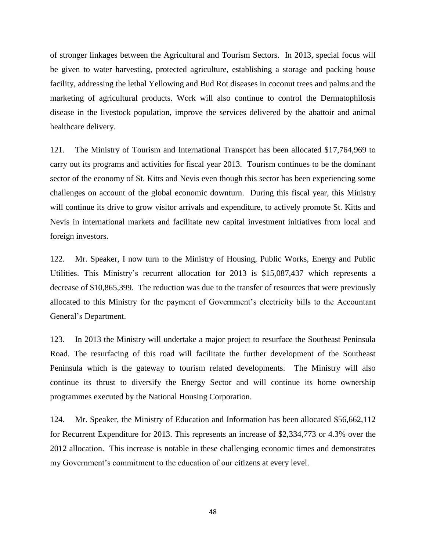of stronger linkages between the Agricultural and Tourism Sectors. In 2013, special focus will be given to water harvesting, protected agriculture, establishing a storage and packing house facility, addressing the lethal Yellowing and Bud Rot diseases in coconut trees and palms and the marketing of agricultural products. Work will also continue to control the Dermatophilosis disease in the livestock population, improve the services delivered by the abattoir and animal healthcare delivery.

121. The Ministry of Tourism and International Transport has been allocated \$17,764,969 to carry out its programs and activities for fiscal year 2013. Tourism continues to be the dominant sector of the economy of St. Kitts and Nevis even though this sector has been experiencing some challenges on account of the global economic downturn. During this fiscal year, this Ministry will continue its drive to grow visitor arrivals and expenditure, to actively promote St. Kitts and Nevis in international markets and facilitate new capital investment initiatives from local and foreign investors.

122. Mr. Speaker, I now turn to the Ministry of Housing, Public Works, Energy and Public Utilities. This Ministry's recurrent allocation for 2013 is \$15,087,437 which represents a decrease of \$10,865,399. The reduction was due to the transfer of resources that were previously allocated to this Ministry for the payment of Government's electricity bills to the Accountant General's Department.

123. In 2013 the Ministry will undertake a major project to resurface the Southeast Peninsula Road. The resurfacing of this road will facilitate the further development of the Southeast Peninsula which is the gateway to tourism related developments. The Ministry will also continue its thrust to diversify the Energy Sector and will continue its home ownership programmes executed by the National Housing Corporation.

124. Mr. Speaker, the Ministry of Education and Information has been allocated \$56,662,112 for Recurrent Expenditure for 2013. This represents an increase of \$2,334,773 or 4.3% over the 2012 allocation. This increase is notable in these challenging economic times and demonstrates my Government's commitment to the education of our citizens at every level.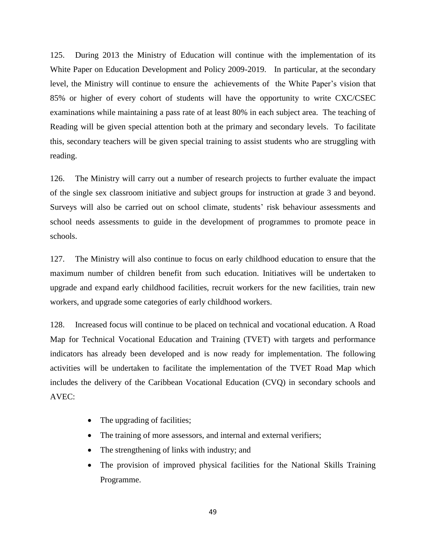125. During 2013 the Ministry of Education will continue with the implementation of its White Paper on Education Development and Policy 2009-2019. In particular, at the secondary level, the Ministry will continue to ensure the achievements of the White Paper's vision that 85% or higher of every cohort of students will have the opportunity to write CXC/CSEC examinations while maintaining a pass rate of at least 80% in each subject area. The teaching of Reading will be given special attention both at the primary and secondary levels. To facilitate this, secondary teachers will be given special training to assist students who are struggling with reading.

126. The Ministry will carry out a number of research projects to further evaluate the impact of the single sex classroom initiative and subject groups for instruction at grade 3 and beyond. Surveys will also be carried out on school climate, students' risk behaviour assessments and school needs assessments to guide in the development of programmes to promote peace in schools.

127. The Ministry will also continue to focus on early childhood education to ensure that the maximum number of children benefit from such education. Initiatives will be undertaken to upgrade and expand early childhood facilities, recruit workers for the new facilities, train new workers, and upgrade some categories of early childhood workers.

128. Increased focus will continue to be placed on technical and vocational education. A Road Map for Technical Vocational Education and Training (TVET) with targets and performance indicators has already been developed and is now ready for implementation. The following activities will be undertaken to facilitate the implementation of the TVET Road Map which includes the delivery of the Caribbean Vocational Education (CVQ) in secondary schools and AVEC:

- The upgrading of facilities;
- The training of more assessors, and internal and external verifiers;
- The strengthening of links with industry; and
- The provision of improved physical facilities for the National Skills Training Programme.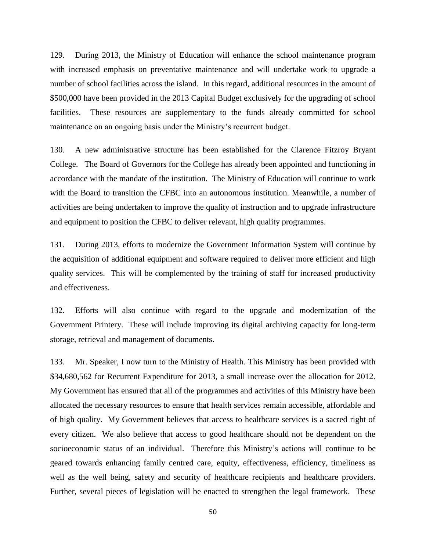129. During 2013, the Ministry of Education will enhance the school maintenance program with increased emphasis on preventative maintenance and will undertake work to upgrade a number of school facilities across the island. In this regard, additional resources in the amount of \$500,000 have been provided in the 2013 Capital Budget exclusively for the upgrading of school facilities. These resources are supplementary to the funds already committed for school maintenance on an ongoing basis under the Ministry's recurrent budget.

130. A new administrative structure has been established for the Clarence Fitzroy Bryant College. The Board of Governors for the College has already been appointed and functioning in accordance with the mandate of the institution. The Ministry of Education will continue to work with the Board to transition the CFBC into an autonomous institution. Meanwhile, a number of activities are being undertaken to improve the quality of instruction and to upgrade infrastructure and equipment to position the CFBC to deliver relevant, high quality programmes.

131. During 2013, efforts to modernize the Government Information System will continue by the acquisition of additional equipment and software required to deliver more efficient and high quality services. This will be complemented by the training of staff for increased productivity and effectiveness.

132. Efforts will also continue with regard to the upgrade and modernization of the Government Printery. These will include improving its digital archiving capacity for long-term storage, retrieval and management of documents.

133. Mr. Speaker, I now turn to the Ministry of Health. This Ministry has been provided with \$34,680,562 for Recurrent Expenditure for 2013, a small increase over the allocation for 2012. My Government has ensured that all of the programmes and activities of this Ministry have been allocated the necessary resources to ensure that health services remain accessible, affordable and of high quality. My Government believes that access to healthcare services is a sacred right of every citizen. We also believe that access to good healthcare should not be dependent on the socioeconomic status of an individual. Therefore this Ministry's actions will continue to be geared towards enhancing family centred care, equity, effectiveness, efficiency, timeliness as well as the well being, safety and security of healthcare recipients and healthcare providers. Further, several pieces of legislation will be enacted to strengthen the legal framework. These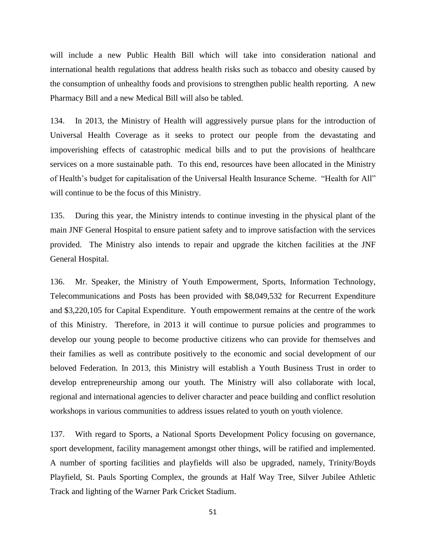will include a new Public Health Bill which will take into consideration national and international health regulations that address health risks such as tobacco and obesity caused by the consumption of unhealthy foods and provisions to strengthen public health reporting. A new Pharmacy Bill and a new Medical Bill will also be tabled.

134. In 2013, the Ministry of Health will aggressively pursue plans for the introduction of Universal Health Coverage as it seeks to protect our people from the devastating and impoverishing effects of catastrophic medical bills and to put the provisions of healthcare services on a more sustainable path. To this end, resources have been allocated in the Ministry of Health's budget for capitalisation of the Universal Health Insurance Scheme. "Health for All" will continue to be the focus of this Ministry.

135. During this year, the Ministry intends to continue investing in the physical plant of the main JNF General Hospital to ensure patient safety and to improve satisfaction with the services provided. The Ministry also intends to repair and upgrade the kitchen facilities at the JNF General Hospital.

136. Mr. Speaker, the Ministry of Youth Empowerment, Sports, Information Technology, Telecommunications and Posts has been provided with \$8,049,532 for Recurrent Expenditure and \$3,220,105 for Capital Expenditure. Youth empowerment remains at the centre of the work of this Ministry. Therefore, in 2013 it will continue to pursue policies and programmes to develop our young people to become productive citizens who can provide for themselves and their families as well as contribute positively to the economic and social development of our beloved Federation. In 2013, this Ministry will establish a Youth Business Trust in order to develop entrepreneurship among our youth. The Ministry will also collaborate with local, regional and international agencies to deliver character and peace building and conflict resolution workshops in various communities to address issues related to youth on youth violence.

137. With regard to Sports, a National Sports Development Policy focusing on governance, sport development, facility management amongst other things, will be ratified and implemented. A number of sporting facilities and playfields will also be upgraded, namely, Trinity/Boyds Playfield, St. Pauls Sporting Complex, the grounds at Half Way Tree, Silver Jubilee Athletic Track and lighting of the Warner Park Cricket Stadium.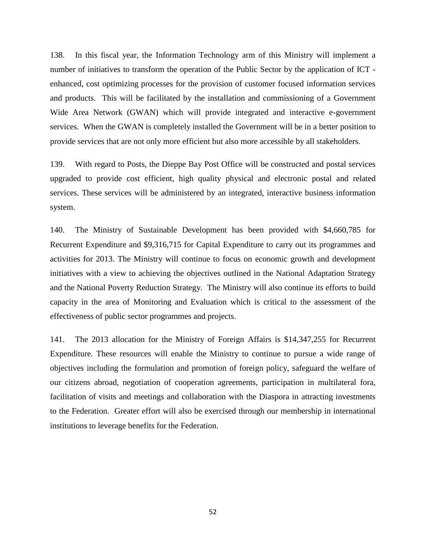138. In this fiscal year, the Information Technology arm of this Ministry will implement a number of initiatives to transform the operation of the Public Sector by the application of ICT enhanced, cost optimizing processes for the provision of customer focused information services and products. This will be facilitated by the installation and commissioning of a Government Wide Area Network (GWAN) which will provide integrated and interactive e-government services. When the GWAN is completely installed the Government will be in a better position to provide services that are not only more efficient but also more accessible by all stakeholders.

139. With regard to Posts, the Dieppe Bay Post Office will be constructed and postal services upgraded to provide cost efficient, high quality physical and electronic postal and related services. These services will be administered by an integrated, interactive business information system.

140. The Ministry of Sustainable Development has been provided with \$4,660,785 for Recurrent Expenditure and \$9,316,715 for Capital Expenditure to carry out its programmes and activities for 2013. The Ministry will continue to focus on economic growth and development initiatives with a view to achieving the objectives outlined in the National Adaptation Strategy and the National Poverty Reduction Strategy. The Ministry will also continue its efforts to build capacity in the area of Monitoring and Evaluation which is critical to the assessment of the effectiveness of public sector programmes and projects.

141. The 2013 allocation for the Ministry of Foreign Affairs is \$14,347,255 for Recurrent Expenditure. These resources will enable the Ministry to continue to pursue a wide range of objectives including the formulation and promotion of foreign policy, safeguard the welfare of our citizens abroad, negotiation of cooperation agreements, participation in multilateral fora, facilitation of visits and meetings and collaboration with the Diaspora in attracting investments to the Federation. Greater effort will also be exercised through our membership in international institutions to leverage benefits for the Federation.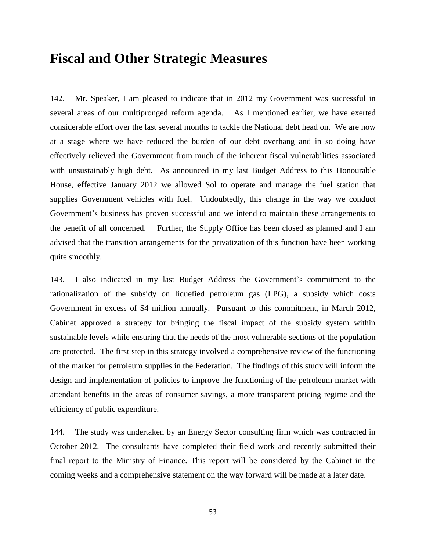### **Fiscal and Other Strategic Measures**

142. Mr. Speaker, I am pleased to indicate that in 2012 my Government was successful in several areas of our multipronged reform agenda. As I mentioned earlier, we have exerted considerable effort over the last several months to tackle the National debt head on. We are now at a stage where we have reduced the burden of our debt overhang and in so doing have effectively relieved the Government from much of the inherent fiscal vulnerabilities associated with unsustainably high debt. As announced in my last Budget Address to this Honourable House, effective January 2012 we allowed Sol to operate and manage the fuel station that supplies Government vehicles with fuel. Undoubtedly, this change in the way we conduct Government's business has proven successful and we intend to maintain these arrangements to the benefit of all concerned. Further, the Supply Office has been closed as planned and I am advised that the transition arrangements for the privatization of this function have been working quite smoothly.

143. I also indicated in my last Budget Address the Government's commitment to the rationalization of the subsidy on liquefied petroleum gas (LPG), a subsidy which costs Government in excess of \$4 million annually. Pursuant to this commitment, in March 2012, Cabinet approved a strategy for bringing the fiscal impact of the subsidy system within sustainable levels while ensuring that the needs of the most vulnerable sections of the population are protected. The first step in this strategy involved a comprehensive review of the functioning of the market for petroleum supplies in the Federation. The findings of this study will inform the design and implementation of policies to improve the functioning of the petroleum market with attendant benefits in the areas of consumer savings, a more transparent pricing regime and the efficiency of public expenditure.

144. The study was undertaken by an Energy Sector consulting firm which was contracted in October 2012. The consultants have completed their field work and recently submitted their final report to the Ministry of Finance. This report will be considered by the Cabinet in the coming weeks and a comprehensive statement on the way forward will be made at a later date.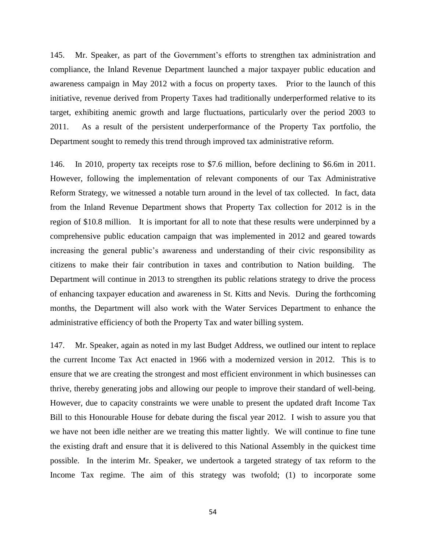145. Mr. Speaker, as part of the Government's efforts to strengthen tax administration and compliance, the Inland Revenue Department launched a major taxpayer public education and awareness campaign in May 2012 with a focus on property taxes. Prior to the launch of this initiative, revenue derived from Property Taxes had traditionally underperformed relative to its target, exhibiting anemic growth and large fluctuations, particularly over the period 2003 to 2011. As a result of the persistent underperformance of the Property Tax portfolio, the Department sought to remedy this trend through improved tax administrative reform.

146. In 2010, property tax receipts rose to \$7.6 million, before declining to \$6.6m in 2011. However, following the implementation of relevant components of our Tax Administrative Reform Strategy, we witnessed a notable turn around in the level of tax collected. In fact, data from the Inland Revenue Department shows that Property Tax collection for 2012 is in the region of \$10.8 million. It is important for all to note that these results were underpinned by a comprehensive public education campaign that was implemented in 2012 and geared towards increasing the general public's awareness and understanding of their civic responsibility as citizens to make their fair contribution in taxes and contribution to Nation building. The Department will continue in 2013 to strengthen its public relations strategy to drive the process of enhancing taxpayer education and awareness in St. Kitts and Nevis. During the forthcoming months, the Department will also work with the Water Services Department to enhance the administrative efficiency of both the Property Tax and water billing system.

147. Mr. Speaker, again as noted in my last Budget Address, we outlined our intent to replace the current Income Tax Act enacted in 1966 with a modernized version in 2012. This is to ensure that we are creating the strongest and most efficient environment in which businesses can thrive, thereby generating jobs and allowing our people to improve their standard of well-being. However, due to capacity constraints we were unable to present the updated draft Income Tax Bill to this Honourable House for debate during the fiscal year 2012. I wish to assure you that we have not been idle neither are we treating this matter lightly. We will continue to fine tune the existing draft and ensure that it is delivered to this National Assembly in the quickest time possible. In the interim Mr. Speaker, we undertook a targeted strategy of tax reform to the Income Tax regime. The aim of this strategy was twofold; (1) to incorporate some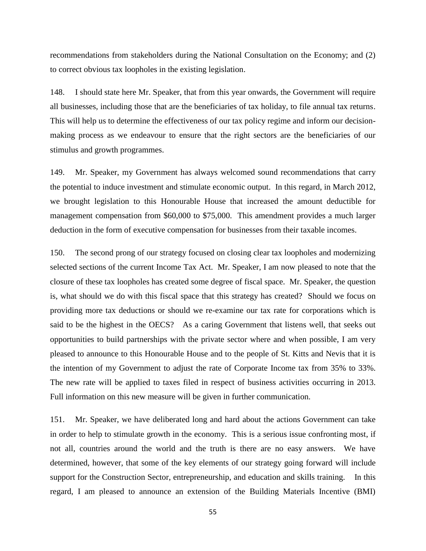recommendations from stakeholders during the National Consultation on the Economy; and (2) to correct obvious tax loopholes in the existing legislation.

148. I should state here Mr. Speaker, that from this year onwards, the Government will require all businesses, including those that are the beneficiaries of tax holiday, to file annual tax returns. This will help us to determine the effectiveness of our tax policy regime and inform our decisionmaking process as we endeavour to ensure that the right sectors are the beneficiaries of our stimulus and growth programmes.

149. Mr. Speaker, my Government has always welcomed sound recommendations that carry the potential to induce investment and stimulate economic output. In this regard, in March 2012, we brought legislation to this Honourable House that increased the amount deductible for management compensation from \$60,000 to \$75,000. This amendment provides a much larger deduction in the form of executive compensation for businesses from their taxable incomes.

150. The second prong of our strategy focused on closing clear tax loopholes and modernizing selected sections of the current Income Tax Act. Mr. Speaker, I am now pleased to note that the closure of these tax loopholes has created some degree of fiscal space. Mr. Speaker, the question is, what should we do with this fiscal space that this strategy has created? Should we focus on providing more tax deductions or should we re-examine our tax rate for corporations which is said to be the highest in the OECS? As a caring Government that listens well, that seeks out opportunities to build partnerships with the private sector where and when possible, I am very pleased to announce to this Honourable House and to the people of St. Kitts and Nevis that it is the intention of my Government to adjust the rate of Corporate Income tax from 35% to 33%. The new rate will be applied to taxes filed in respect of business activities occurring in 2013. Full information on this new measure will be given in further communication.

151. Mr. Speaker, we have deliberated long and hard about the actions Government can take in order to help to stimulate growth in the economy. This is a serious issue confronting most, if not all, countries around the world and the truth is there are no easy answers. We have determined, however, that some of the key elements of our strategy going forward will include support for the Construction Sector, entrepreneurship, and education and skills training. In this regard, I am pleased to announce an extension of the Building Materials Incentive (BMI)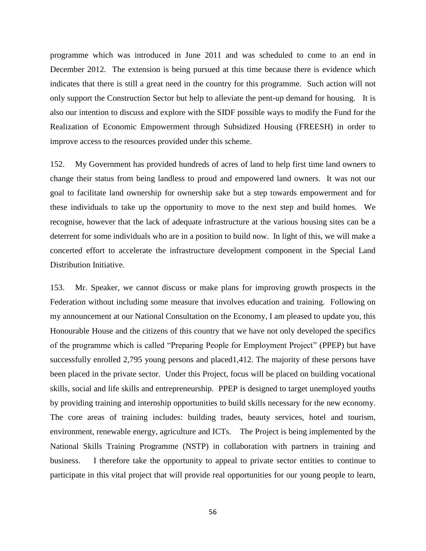programme which was introduced in June 2011 and was scheduled to come to an end in December 2012. The extension is being pursued at this time because there is evidence which indicates that there is still a great need in the country for this programme. Such action will not only support the Construction Sector but help to alleviate the pent-up demand for housing. It is also our intention to discuss and explore with the SIDF possible ways to modify the Fund for the Realization of Economic Empowerment through Subsidized Housing (FREESH) in order to improve access to the resources provided under this scheme.

152. My Government has provided hundreds of acres of land to help first time land owners to change their status from being landless to proud and empowered land owners. It was not our goal to facilitate land ownership for ownership sake but a step towards empowerment and for these individuals to take up the opportunity to move to the next step and build homes. We recognise, however that the lack of adequate infrastructure at the various housing sites can be a deterrent for some individuals who are in a position to build now. In light of this, we will make a concerted effort to accelerate the infrastructure development component in the Special Land Distribution Initiative.

153. Mr. Speaker, we cannot discuss or make plans for improving growth prospects in the Federation without including some measure that involves education and training. Following on my announcement at our National Consultation on the Economy, I am pleased to update you, this Honourable House and the citizens of this country that we have not only developed the specifics of the programme which is called "Preparing People for Employment Project" (PPEP) but have successfully enrolled 2,795 young persons and placed1,412. The majority of these persons have been placed in the private sector. Under this Project, focus will be placed on building vocational skills, social and life skills and entrepreneurship. PPEP is designed to target unemployed youths by providing training and internship opportunities to build skills necessary for the new economy. The core areas of training includes: building trades, beauty services, hotel and tourism, environment, renewable energy, agriculture and ICTs. The Project is being implemented by the National Skills Training Programme (NSTP) in collaboration with partners in training and business. I therefore take the opportunity to appeal to private sector entities to continue to participate in this vital project that will provide real opportunities for our young people to learn,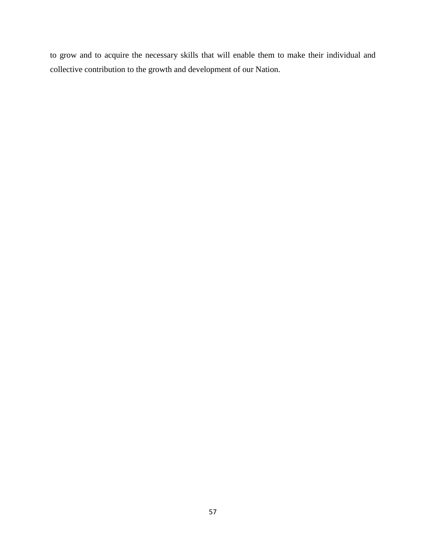to grow and to acquire the necessary skills that will enable them to make their individual and collective contribution to the growth and development of our Nation.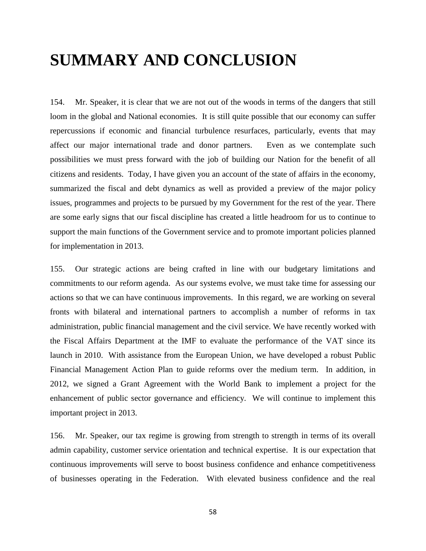# **SUMMARY AND CONCLUSION**

154. Mr. Speaker, it is clear that we are not out of the woods in terms of the dangers that still loom in the global and National economies. It is still quite possible that our economy can suffer repercussions if economic and financial turbulence resurfaces, particularly, events that may affect our major international trade and donor partners. Even as we contemplate such possibilities we must press forward with the job of building our Nation for the benefit of all citizens and residents. Today, I have given you an account of the state of affairs in the economy, summarized the fiscal and debt dynamics as well as provided a preview of the major policy issues, programmes and projects to be pursued by my Government for the rest of the year. There are some early signs that our fiscal discipline has created a little headroom for us to continue to support the main functions of the Government service and to promote important policies planned for implementation in 2013.

155. Our strategic actions are being crafted in line with our budgetary limitations and commitments to our reform agenda. As our systems evolve, we must take time for assessing our actions so that we can have continuous improvements. In this regard, we are working on several fronts with bilateral and international partners to accomplish a number of reforms in tax administration, public financial management and the civil service. We have recently worked with the Fiscal Affairs Department at the IMF to evaluate the performance of the VAT since its launch in 2010. With assistance from the European Union, we have developed a robust Public Financial Management Action Plan to guide reforms over the medium term. In addition, in 2012, we signed a Grant Agreement with the World Bank to implement a project for the enhancement of public sector governance and efficiency. We will continue to implement this important project in 2013.

156. Mr. Speaker, our tax regime is growing from strength to strength in terms of its overall admin capability, customer service orientation and technical expertise. It is our expectation that continuous improvements will serve to boost business confidence and enhance competitiveness of businesses operating in the Federation. With elevated business confidence and the real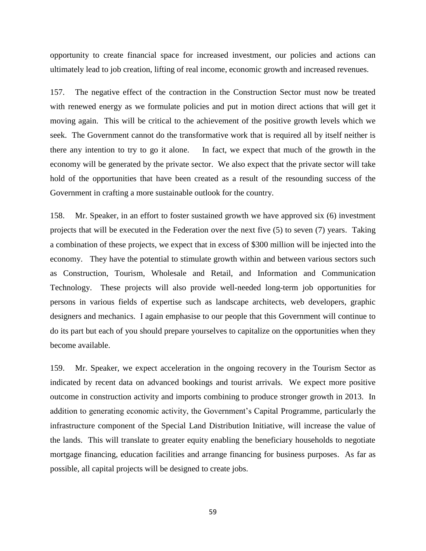opportunity to create financial space for increased investment, our policies and actions can ultimately lead to job creation, lifting of real income, economic growth and increased revenues.

157. The negative effect of the contraction in the Construction Sector must now be treated with renewed energy as we formulate policies and put in motion direct actions that will get it moving again. This will be critical to the achievement of the positive growth levels which we seek. The Government cannot do the transformative work that is required all by itself neither is there any intention to try to go it alone. In fact, we expect that much of the growth in the economy will be generated by the private sector. We also expect that the private sector will take hold of the opportunities that have been created as a result of the resounding success of the Government in crafting a more sustainable outlook for the country.

158. Mr. Speaker, in an effort to foster sustained growth we have approved six (6) investment projects that will be executed in the Federation over the next five (5) to seven (7) years. Taking a combination of these projects, we expect that in excess of \$300 million will be injected into the economy. They have the potential to stimulate growth within and between various sectors such as Construction, Tourism, Wholesale and Retail, and Information and Communication Technology. These projects will also provide well-needed long-term job opportunities for persons in various fields of expertise such as landscape architects, web developers, graphic designers and mechanics. I again emphasise to our people that this Government will continue to do its part but each of you should prepare yourselves to capitalize on the opportunities when they become available.

159. Mr. Speaker, we expect acceleration in the ongoing recovery in the Tourism Sector as indicated by recent data on advanced bookings and tourist arrivals. We expect more positive outcome in construction activity and imports combining to produce stronger growth in 2013. In addition to generating economic activity, the Government's Capital Programme, particularly the infrastructure component of the Special Land Distribution Initiative, will increase the value of the lands. This will translate to greater equity enabling the beneficiary households to negotiate mortgage financing, education facilities and arrange financing for business purposes. As far as possible, all capital projects will be designed to create jobs.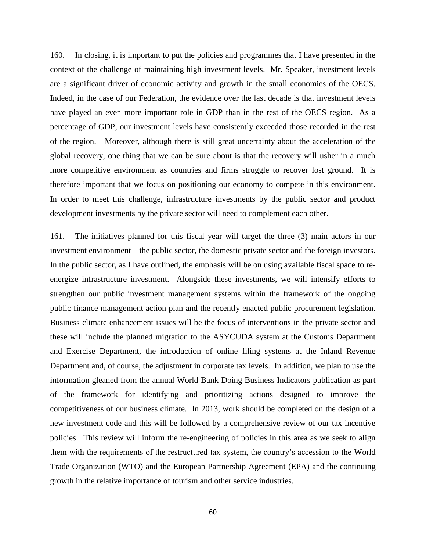160. In closing, it is important to put the policies and programmes that I have presented in the context of the challenge of maintaining high investment levels. Mr. Speaker, investment levels are a significant driver of economic activity and growth in the small economies of the OECS. Indeed, in the case of our Federation, the evidence over the last decade is that investment levels have played an even more important role in GDP than in the rest of the OECS region. As a percentage of GDP, our investment levels have consistently exceeded those recorded in the rest of the region. Moreover, although there is still great uncertainty about the acceleration of the global recovery, one thing that we can be sure about is that the recovery will usher in a much more competitive environment as countries and firms struggle to recover lost ground. It is therefore important that we focus on positioning our economy to compete in this environment. In order to meet this challenge, infrastructure investments by the public sector and product development investments by the private sector will need to complement each other.

161. The initiatives planned for this fiscal year will target the three (3) main actors in our investment environment – the public sector, the domestic private sector and the foreign investors. In the public sector, as I have outlined, the emphasis will be on using available fiscal space to reenergize infrastructure investment. Alongside these investments, we will intensify efforts to strengthen our public investment management systems within the framework of the ongoing public finance management action plan and the recently enacted public procurement legislation. Business climate enhancement issues will be the focus of interventions in the private sector and these will include the planned migration to the ASYCUDA system at the Customs Department and Exercise Department, the introduction of online filing systems at the Inland Revenue Department and, of course, the adjustment in corporate tax levels. In addition, we plan to use the information gleaned from the annual World Bank Doing Business Indicators publication as part of the framework for identifying and prioritizing actions designed to improve the competitiveness of our business climate. In 2013, work should be completed on the design of a new investment code and this will be followed by a comprehensive review of our tax incentive policies. This review will inform the re-engineering of policies in this area as we seek to align them with the requirements of the restructured tax system, the country's accession to the World Trade Organization (WTO) and the European Partnership Agreement (EPA) and the continuing growth in the relative importance of tourism and other service industries.